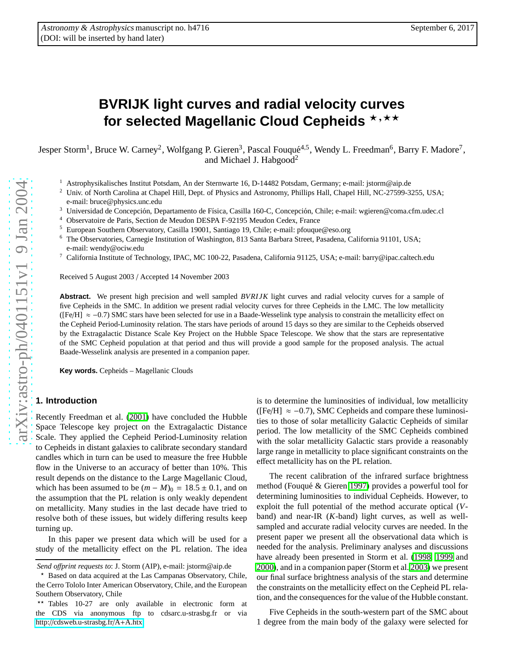# **BVRIJK light curves and radial velocity curves** for selected Magellanic Cloud Cepheids **\***, \*\*

Jesper Storm<sup>1</sup>, Bruce W. Carney<sup>2</sup>, Wolfgang P. Gieren<sup>3</sup>, Pascal Fouqué<sup>4,5</sup>, Wendy L. Freedman<sup>6</sup>, Barry F. Madore<sup>7</sup>, and Michael J. Habgood<sup>2</sup>

- <sup>1</sup> Astrophysikalisches Institut Potsdam, An der Sternwarte 16, D-14482 Potsdam, Germany; e-mail: jstorm@aip.de
- <sup>2</sup> Univ. of North Carolina at Chapel Hill, Dept. of Physics and Astronomy, Phillips Hall, Chapel Hill, NC-27599-3255, USA; e-mail: bruce@physics.unc.edu
- <sup>3</sup> Universidad de Concepción, Departamento de Física, Casilla 160-C, Concepción, Chile; e-mail: wgieren@coma.cfm.udec.cl
- <sup>4</sup> Observatoire de Paris, Section de Meudon DESPA F-92195 Meudon Cedex, France
- <sup>5</sup> European Southern Observatory, Casilla 19001, Santiago 19, Chile; e-mail: pfouque@eso.org
- <sup>6</sup> The Observatories, Carnegie Institution of Washington, 813 Santa Barbara Street, Pasadena, California 91101, USA; e-mail: wendy@ociw.edu
- <sup>7</sup> California Institute of Technology, IPAC, MC 100-22, Pasadena, California 91125, USA; e-mail: barry@ipac.caltech.edu

Received 5 August 2003 / Accepted 14 November 2003

**Abstract.** We present high precision and well sampled *BVRIJK* light curves and radial velocity curves for a sample of five Cepheids in the SMC. In addition we present radial velocity curves for three Cepheids in the LMC. The low metallicity ([Fe/H] ≈ − 0 .7) SMC stars have been selected for use in a Baade-Wesselink type analysis to constrain the metallicity e ffect on the Cepheid Period-Luminosity relation. The stars have periods of around 15 days so they are similar to the Cepheids observed by the Extragalactic Distance Scale Key Project on the Hubble Space Telescope. We show that the stars are representative of the SMC Cepheid population at that period and thus will provide a good sample for the proposed analysis. The actual Baade-Wesselink analysis are presented in a companion paper.

**Key words.** Cepheids – Magellanic Clouds

## **1. Introduction**

Recently Freedman et al. [\(2001\)](#page-9-0) have concluded the Hubble Space Telescope key project on the Extragalactic Distance Scale. They applied the Cepheid Period-Luminosity relatio n to Cepheids in distant galaxies to calibrate secondary standard candles which in turn can be used to measure the free Hubble flow in the Universe to an accuracy of better than 10%. This result depends on the distance to the Large Magellanic Cloud , which has been assumed to be  $(m - M)_0 = 18.5 \pm 0.1$ , and on the assumption that the PL relation is only weakly dependent on metallicity. Many studies in the last decade have tried to resolve both of these issues, but widely di ffering results keep turning up.

In this paper we present data which will be used for a study of the metallicity e ffect on the PL relation. The idea is to determine the luminosities of individual, low metallicity ([Fe/H]  $\approx -0.7$ ), SMC Cepheids and compare these luminosities to those of solar metallicity Galactic Cepheids of similar period. The low metallicity of the SMC Cepheids combined with the solar metallicity Galactic stars provide a reasonably large range in metallicity to place significant constraints on the effect metallicity has on the PL relation.

The recent calibration of the infrared surface brightness method (Fouqué & Gieren [1997\)](#page-9-1) provides a powerful tool for determining luminosities to individual Cepheids. However, to exploit the full potential of the method accurate optical ( *V* band) and near-IR ( *K*-band) light curves, as well as wellsampled and accurate radial velocity curves are needed. In the present paper we present all the observational data which is needed for the analysis. Preliminary analyses and discussions have already been presented in Storm et al. [\(1998,](#page-9-2) [1999](#page-9-3) and [2000\)](#page-9-4), and in a companion paper (Storm et al. [2003\)](#page-9-5) we present our final surface brightness analysis of the stars and determine the constraints on the metallicity e ffect on the Cepheid PL relation, and the consequences for the value of the Hubble constant.

Five Cepheids in the south-western part of the SMC about 1 degree from the main body of the galaxy were selected for

*Send o*ff*print requests to*: J. Storm (AIP), e-mail: jstorm@aip.de

<sup>⋆</sup> Based on data acquired at the Las Campanas Observatory, Chile, the Cerro Tololo Inter American Observatory, Chile, and the European Southern Observatory, Chile

<sup>⋆⋆</sup> Tables 10-27 are only available in electronic form at the CDS via anonymous ftp to cdsarc.u-strasbg.fr or via http://[cdsweb.u-strasbg.fr](http://cdsweb.u-strasbg.fr/A+A.htx)/A+A.htx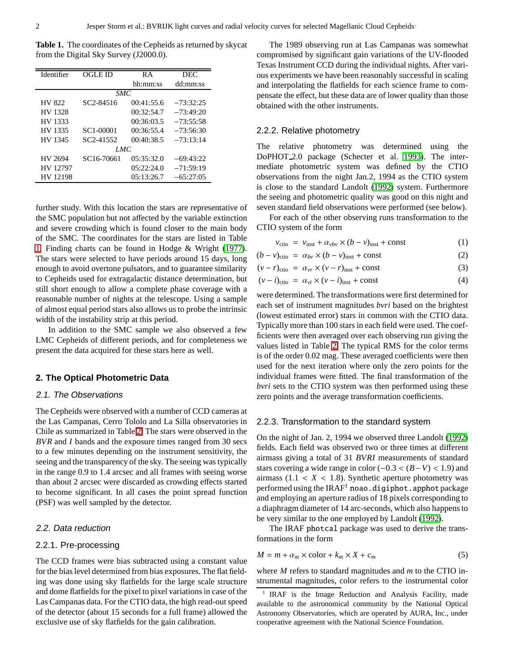<span id="page-1-0"></span>**Table 1.** The coordinates of the Cepheids as returned by skycat from the Digital Sky Survey (J2000.0).

| Identifier | OGLE ID                | R A        | <b>DEC</b>  |
|------------|------------------------|------------|-------------|
|            |                        | hh:mm:ss   | dd:mm:ss    |
|            | <i>SMC</i>             |            |             |
| HV 822     | SC <sub>2</sub> -84516 | 00:41:55.6 | $-73:32:25$ |
| HV 1328    |                        | 00:32:54.7 | $-73:49:20$ |
| HV 1333    |                        | 00:36:03.5 | $-73:55:58$ |
| HV 1335    | SC1-00001              | 00:36:55.4 | $-73:56:30$ |
| HV 1345    | SC <sub>2</sub> -41552 | 00:40:38.5 | $-73:13:14$ |
|            | LMC                    |            |             |
| HV 2694    | SC16-70661             | 05:35:32.0 | $-69:43:22$ |
| HV 12797   |                        | 05:22:24.0 | $-71:59:19$ |
| HV 12198   |                        | 05:13:26.7 | $-65:27:05$ |

further study. With this location the stars are representative of the SMC population but not affected by the variable extinction and severe crowding which is found closer to the main body of the SMC. The coordinates for the stars are listed in Table [1.](#page-1-0) Finding charts can be found in Hodge & Wright [\(1977\)](#page-9-6). The stars were selected to have periods around 15 days, long enough to avoid overtone pulsators, and to guarantee similarity to Cepheids used for extragalactic distance determination, but still short enough to allow a complete phase coverage with a reasonable number of nights at the telescope. Using a sample of almost equal period stars also allows us to probe the intrinsic width of the instability strip at this period.

In addition to the SMC sample we also observed a few LMC Cepheids of different periods, and for completeness we present the data acquired for these stars here as well.

## **2. The Optical Photometric Data**

#### 2.1. The Observations

The Cepheids were observed with a number of CCD cameras at the Las Campanas, Cerro Tololo and La Silla observatories in Chile as summarized in Table [2.](#page-2-0) The stars were observed in the *BVR* and *I* bands and the exposure times ranged from 30 secs to a few minutes depending on the instrument sensitivity, the seeing and the transparency of the sky. The seeing was typically in the range 0.9 to 1.4 arcsec and all frames with seeing worse than about 2 arcsec were discarded as crowding effects started to become significant. In all cases the point spread function (PSF) was well sampled by the detector.

## 2.2. Data reduction

#### 2.2.1. Pre-processing

The CCD frames were bias subtracted using a constant value for the bias level determined from bias exposures. The flat fielding was done using sky flatfields for the large scale structure and dome flatfields for the pixel to pixel variations in case of the Las Campanas data. For the CTIO data, the high read-out speed of the detector (about 15 seconds for a full frame) allowed the exclusive use of sky flatfields for the gain calibration.

The 1989 observing run at Las Campanas was somewhat compromised by significant gain variations of the UV-flooded Texas Instrument CCD during the individual nights. After various experiments we have been reasonably successful in scaling and interpolating the flatfields for each science frame to compensate the effect, but these data are of lower quality than those obtained with the other instruments.

## 2.2.2. Relative photometry

The relative photometry was determined using the DoPHOT 2.0 package (Schecter et al. [1993\)](#page-9-7). The intermediate photometric system was defined by the CTIO observations from the night Jan.2, 1994 as the CTIO system is close to the standard Landolt [\(1992\)](#page-9-8) system. Furthermore the seeing and photometric quality was good on this night and seven standard field observations were performed (see below).

For each of the other observing runs transformation to the CTIO system of the form

$$
v_{\text{ctio}} = v_{\text{inst}} + \alpha_{\nu b\nu} \times (b - \nu)_{\text{inst}} + \text{const}
$$
 (1)

$$
(b - v)_{\text{ctio}} = \alpha_{bv} \times (b - v)_{\text{inst}} + \text{const}
$$
 (2)

$$
(\nu - r)_{\text{ctio}} = \alpha_{\nu r} \times (\nu - r)_{\text{inst}} + \text{const}
$$
 (3)

$$
(\nu - i)_{\text{ctio}} = \alpha_{\nu i} \times (\nu - i)_{\text{inst}} + \text{const}
$$
 (4)

were determined. The transformations were first determined for each set of instrument magnitudes *bvri* based on the brightest (lowest estimated error) stars in common with the CTIO data. Typically more than 100 stars in each field were used. The coefficients were then averaged over each observing run giving the values listed in Table [2.](#page-2-0) The typical RMS for the color terms is of the order 0.02 mag. These averaged coefficients were then used for the next iteration where only the zero points for the individual frames were fitted. The final transformation of the *bvri* sets to the CTIO system was then performed using these zero points and the average transformation coefficients.

#### 2.2.3. Transformation to the standard system

On the night of Jan. 2, 1994 we observed three Landolt [\(1992\)](#page-9-8) fields. Each field was observed two or three times at different airmass giving a total of 31 *BVRI* measurements of standard stars covering a wide range in color (−0.3 < (*B*−*V*) < 1.9) and airmass  $(1.1 < X < 1.8)$ . Synthetic aperture photometry was performed using the  $IRAF<sup>1</sup>$  noao.digiphot.apphot package and employing an aperture radius of 18 pixels corresponding to a diaphragm diameter of 14 arc-seconds, which also happens to be very similar to the one employed by Landolt [\(1992\)](#page-9-8).

The IRAF photcal package was used to derive the transformations in the form

$$
M = m + \alpha_m \times \text{color} + k_m \times X + c_m \tag{5}
$$

where *M* refers to standard magnitudes and *m* to the CTIO instrumental magnitudes, color refers to the instrumental color

<sup>1</sup> IRAF is the Image Reduction and Analysis Facility, made available to the astronomical community by the National Optical Astronomy Observatories, which are operated by AURA, Inc., under cooperative agreement with the National Science Foundation.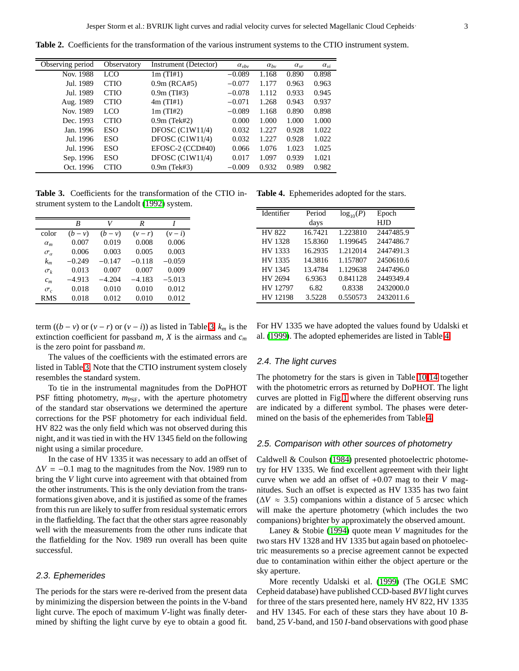<span id="page-2-0"></span>**Table 2.** Coefficients for the transformation of the various instrument systems to the CTIO instrument system.

| Observing period | Observatory | Instrument (Detector) | $\alpha_{\nu bv}$ | $\alpha_{bv}$ | $\alpha_{vr}$ | $\alpha_{vi}$ |
|------------------|-------------|-----------------------|-------------------|---------------|---------------|---------------|
| Nov. 1988        | LCO.        | 1m(TI#1)              | $-0.089$          | 1.168         | 0.890         | 0.898         |
| Jul. 1989        | <b>CTIO</b> | $0.9m$ (RCA#5)        | $-0.077$          | 1.177         | 0.963         | 0.963         |
| Jul. 1989        | <b>CTIO</b> | $0.9m$ (TI#3)         | $-0.078$          | 1.112         | 0.933         | 0.945         |
| Aug. 1989        | <b>CTIO</b> | 4m(THH)               | $-0.071$          | 1.268         | 0.943         | 0.937         |
| Nov. 1989        | LCO         | 1m(TI#2)              | $-0.089$          | 1.168         | 0.890         | 0.898         |
| Dec. 1993        | <b>CTIO</b> | $0.9m$ (Tek#2)        | 0.000             | 1.000         | 1.000         | 1.000         |
| Jan. 1996        | <b>ESO</b>  | DFOSC $(C1W11/4)$     | 0.032             | 1.227         | 0.928         | 1.022         |
| Jul. 1996        | <b>ESO</b>  | DFOSC $(C1W11/4)$     | 0.032             | 1.227         | 0.928         | 1.022         |
| Jul. 1996        | <b>ESO</b>  | EFOSC-2 (CCD#40)      | 0.066             | 1.076         | 1.023         | 1.025         |
| Sep. 1996        | <b>ESO</b>  | DFOSC $(C1W11/4)$     | 0.017             | 1.097         | 0.939         | 1.021         |
| Oct. 1996        | <b>CTIO</b> | $0.9m$ (Tek#3)        | $-0.009$          | 0.932         | 0.989         | 0.982         |
|                  |             |                       |                   |               |               |               |

<span id="page-2-1"></span>**Table 3.** Coefficients for the transformation of the CTIO in-**Table 4.** Ephemerides adopted for the stars. strument system to the Landolt [\(1992\)](#page-9-8) system.

|                   | B        | V        | R        |           |
|-------------------|----------|----------|----------|-----------|
| color             | $(b-v)$  | $(b-v)$  | $(v-r)$  | $(v - i)$ |
| $\alpha_m$        | 0.007    | 0.019    | 0.008    | 0.006     |
| $\sigma_{\alpha}$ | 0.006    | 0.003    | 0.005    | 0.003     |
| $k_m$             | $-0.249$ | $-0.147$ | $-0.118$ | $-0.059$  |
| $\sigma_k$        | 0.013    | 0.007    | 0.007    | 0.009     |
| $c_m$             | $-4.913$ | $-4.204$ | $-4.183$ | $-5.013$  |
| $\sigma_{c}$      | 0.018    | 0.010    | 0.010    | 0.012     |
| RMS               | 0.018    | 0.012    | 0.010    | 0.012     |

<span id="page-2-2"></span>

| Identifier | Period  | $log_{10}(P)$ | Epoch     |
|------------|---------|---------------|-----------|
|            | days    |               | HJD       |
| HV 822     | 16.7421 | 1.223810      | 2447485.9 |
| HV 1328    | 15.8360 | 1.199645      | 2447486.7 |
| HV 1333    | 16.2935 | 1.212014      | 2447491.3 |
| HV 1335    | 14.3816 | 1.157807      | 2450610.6 |
| HV 1345    | 13.4784 | 1.129638      | 2447496.0 |
| HV 2694    | 6.9363  | 0.841128      | 2449349.4 |
| HV 12797   | 6.82    | 0.8338        | 2432000.0 |
| HV 12198   | 3.5228  | 0.550573      | 2432011.6 |

term ( $(b − v)$  or  $(v − r)$  or  $(v − i)$ ) as listed in Table [3,](#page-2-1)  $k_m$  is the extinction coefficient for passband  $m$ ,  $X$  is the airmass and  $c_m$ is the zero point for passband *m*.

The values of the coefficients with the estimated errors are listed in Table [3.](#page-2-1) Note that the CTIO instrument system closely resembles the standard system.

To tie in the instrumental magnitudes from the DoPHOT PSF fitting photometry,  $m_{\text{PSF}}$ , with the aperture photometry of the standard star observations we determined the aperture corrections for the PSF photometry for each individual field. HV 822 was the only field which was not observed during this night, and it was tied in with the HV 1345 field on the following night using a similar procedure.

In the case of HV 1335 it was necessary to add an offset of  $\Delta V = -0.1$  mag to the magnitudes from the Nov. 1989 run to bring the *V* light curve into agreement with that obtained from the other instruments. This is the only deviation from the transformations given above, and it is justified as some of the frames from this run are likely to suffer from residual systematic errors in the flatfielding. The fact that the other stars agree reasonably well with the measurements from the other runs indicate that the flatfielding for the Nov. 1989 run overall has been quite successful.

#### 2.3. Ephemerides

The periods for the stars were re-derived from the present data by minimizing the dispersion between the points in the V-band light curve. The epoch of maximum *V*-light was finally determined by shifting the light curve by eye to obtain a good fit. For HV 1335 we have adopted the values found by Udalski et al. [\(1999\)](#page-9-9). The adopted ephemerides are listed in Table [4.](#page-2-2)

#### 2.4. The light curves

The photometry for the stars is given in Table [10-](#page-10-0)[14](#page-14-0) together with the photometric errors as returned by DoPHOT. The light curves are plotted in Fig[.1](#page-3-0) where the different observing runs are indicated by a different symbol. The phases were determined on the basis of the ephemerides from Table [4.](#page-2-2)

## 2.5. Comparison with other sources of photometry

Caldwell & Coulson [\(1984\)](#page-9-10) presented photoelectric photometry for HV 1335. We find excellent agreement with their light curve when we add an offset of +0.07 mag to their *V* magnitudes. Such an offset is expected as HV 1335 has two faint  $(\Delta V \approx 3.5)$  companions within a distance of 5 arcsec which will make the aperture photometry (which includes the two companions) brighter by approximately the observed amount.

Laney & Stobie [\(1994\)](#page-9-11) quote mean *V* magnitudes for the two stars HV 1328 and HV 1335 but again based on photoelectric measurements so a precise agreement cannot be expected due to contamination within either the object aperture or the sky aperture.

More recently Udalski et al. [\(1999\)](#page-9-9) (The OGLE SMC Cepheid database) have published CCD-based *BVI* light curves for three of the stars presented here, namely HV 822, HV 1335 and HV 1345. For each of these stars they have about 10 *B*band, 25 *V*-band, and 150 *I*-band observations with good phase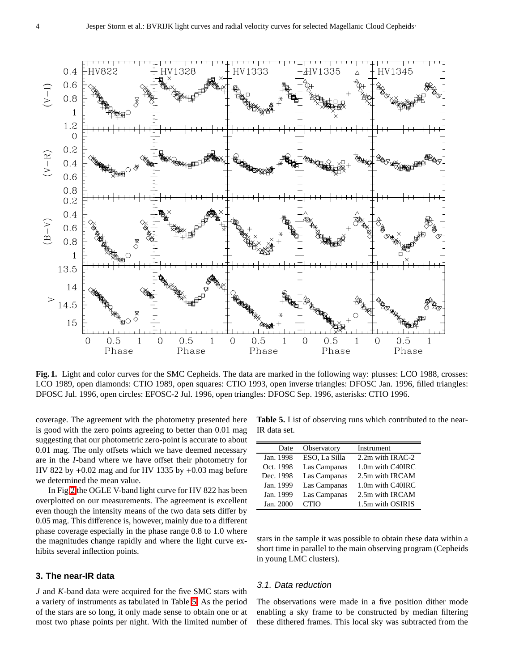

<span id="page-3-0"></span>**Fig. 1.** Light and color curves for the SMC Cepheids. The data are marked in the following way: plusses: LCO 1988, crosses: LCO 1989, open diamonds: CTIO 1989, open squares: CTIO 1993, open inverse triangles: DFOSC Jan. 1996, filled triangles: DFOSC Jul. 1996, open circles: EFOSC-2 Jul. 1996, open triangles: DFOSC Sep. 1996, asterisks: CTIO 1996.

coverage. The agreement with the photometry presented here is good with the zero points agreeing to better than 0.01 mag suggesting that our photometric zero-point is accurate to about 0.01 mag. The only offsets which we have deemed necessary are in the *I*-band where we have offset their photometry for HV 822 by +0.02 mag and for HV 1335 by +0.03 mag before we determined the mean value.

In Fig[.2](#page-4-0) the OGLE V-band light curve for HV 822 has been overplotted on our measurements. The agreement is excellent even though the intensity means of the two data sets differ by 0.05 mag. This difference is, however, mainly due to a different phase coverage especially in the phase range 0.8 to 1.0 where the magnitudes change rapidly and where the light curve exhibits several inflection points.

## **3. The near-IR data**

*J* and *K*-band data were acquired for the five SMC stars with a variety of instruments as tabulated in Table [5.](#page-3-1) As the period of the stars are so long, it only made sense to obtain one or at most two phase points per night. With the limited number of

<span id="page-3-1"></span>**Table 5.** List of observing runs which contributed to the near-IR data set.

| Date      | Observatory   | Instrument       |
|-----------|---------------|------------------|
| Jan. 1998 | ESO, La Silla | 2.2m with IRAC-2 |
| Oct. 1998 | Las Campanas  | 1.0m with C40IRC |
| Dec. 1998 | Las Campanas  | 2.5m with IRCAM  |
| Jan. 1999 | Las Campanas  | 1.0m with C40IRC |
| Jan. 1999 | Las Campanas  | 2.5m with IRCAM  |
| Jan. 2000 | <b>CTIO</b>   | 1.5m with OSIRIS |

stars in the sample it was possible to obtain these data within a short time in parallel to the main observing program (Cepheids in young LMC clusters).

#### 3.1. Data reduction

The observations were made in a five position dither mode enabling a sky frame to be constructed by median filtering these dithered frames. This local sky was subtracted from the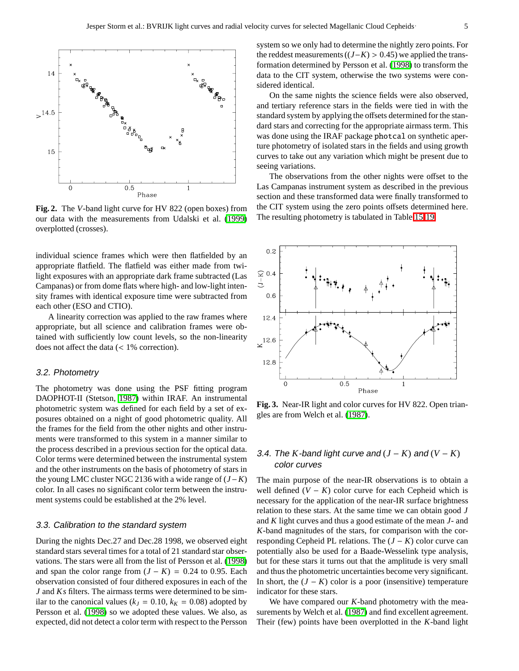

<span id="page-4-0"></span>**Fig. 2.** The *V*-band light curve for HV 822 (open boxes) from our data with the measurements from Udalski et al. [\(1999\)](#page-9-9) overplotted (crosses).

individual science frames which were then flatfielded by an appropriate flatfield. The flatfield was either made from twilight exposures with an appropriate dark frame subtracted (Las Campanas) or from dome flats where high- and low-light intensity frames with identical exposure time were subtracted from each other (ESO and CTIO).

A linearity correction was applied to the raw frames where appropriate, but all science and calibration frames were obtained with sufficiently low count levels, so the non-linearity does not affect the data (< 1% correction).

## 3.2. Photometry

The photometry was done using the PSF fitting program DAOPHOT-II (Stetson, [1987\)](#page-9-12) within IRAF. An instrumental photometric system was defined for each field by a set of exposures obtained on a night of good photometric quality. All the frames for the field from the other nights and other instruments were transformed to this system in a manner similar to the process described in a previous section for the optical data. Color terms were determined between the instrumental system and the other instruments on the basis of photometry of stars in the young LMC cluster NGC 2136 with a wide range of (*J*−*K*) color. In all cases no significant color term between the instrument systems could be established at the 2% level.

#### 3.3. Calibration to the standard system

During the nights Dec.27 and Dec.28 1998, we observed eight standard stars several times for a total of 21 standard star observations. The stars were all from the list of Persson et al. [\(1998\)](#page-9-13) and span the color range from  $(J - K) = 0.24$  to 0.95. Each observation consisted of four dithered exposures in each of the *J* and *Ks* filters. The airmass terms were determined to be similar to the canonical values ( $k_J = 0.10$ ,  $k_K = 0.08$ ) adopted by Persson et al. [\(1998\)](#page-9-13) so we adopted these values. We also, as expected, did not detect a color term with respect to the Persson

system so we only had to determine the nightly zero points. For the reddest measurements  $((J–K) > 0.45)$  we applied the transformation determined by Persson et al. [\(1998\)](#page-9-13) to transform the data to the CIT system, otherwise the two systems were considered identical.

On the same nights the science fields were also observed, and tertiary reference stars in the fields were tied in with the standard system by applying the offsets determined for the standard stars and correcting for the appropriate airmass term. This was done using the IRAF package photcal on synthetic aperture photometry of isolated stars in the fields and using growth curves to take out any variation which might be present due to seeing variations.

The observations from the other nights were offset to the Las Campanas instrument system as described in the previous section and these transformed data were finally transformed to the CIT system using the zero points offsets determined here. The resulting photometry is tabulated in Table [15-](#page-15-0)[19.](#page-16-0)



<span id="page-4-1"></span>**Fig. 3.** Near-IR light and color curves for HV 822. Open triangles are from Welch et al. [\(1987\)](#page-9-14).

## 3.4. The *K*-band light curve and  $(J - K)$  and  $(V - K)$ color curves

The main purpose of the near-IR observations is to obtain a well defined  $(V - K)$  color curve for each Cepheid which is necessary for the application of the near-IR surface brightness relation to these stars. At the same time we can obtain good *J* and *K* light curves and thus a good estimate of the mean *J*- and *K*-band magnitudes of the stars, for comparison with the corresponding Cepheid PL relations. The (*J* − *K*) color curve can potentially also be used for a Baade-Wesselink type analysis, but for these stars it turns out that the amplitude is very small and thus the photometric uncertainties become very significant. In short, the  $(J - K)$  color is a poor (insensitive) temperature indicator for these stars.

We have compared our *K*-band photometry with the measurements by Welch et al. [\(1987\)](#page-9-14) and find excellent agreement. Their (few) points have been overplotted in the *K*-band light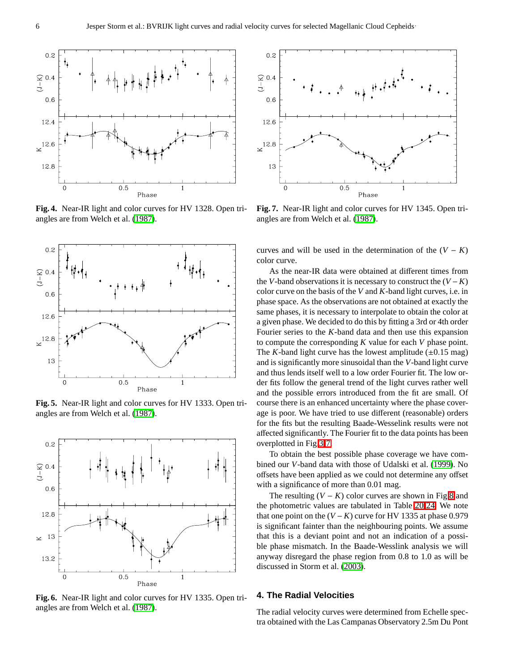

**Fig. 4.** Near-IR light and color curves for HV 1328. Open triangles are from Welch et al. [\(1987\)](#page-9-14).



**Fig. 5.** Near-IR light and color curves for HV 1333. Open triangles are from Welch et al. [\(1987\)](#page-9-14).



**Fig. 6.** Near-IR light and color curves for HV 1335. Open triangles are from Welch et al. [\(1987\)](#page-9-14).



<span id="page-5-0"></span>**Fig. 7.** Near-IR light and color curves for HV 1345. Open triangles are from Welch et al. [\(1987\)](#page-9-14).

curves and will be used in the determination of the  $(V - K)$ color curve.

As the near-IR data were obtained at different times from the *V*-band observations it is necessary to construct the  $(V - K)$ color curve on the basis of the *V* and *K*-band light curves, i.e. in phase space. As the observations are not obtained at exactly the same phases, it is necessary to interpolate to obtain the color at a given phase. We decided to do this by fitting a 3rd or 4th order Fourier series to the *K*-band data and then use this expansion to compute the corresponding *K* value for each *V* phase point. The *K*-band light curve has the lowest amplitude  $(\pm 0.15 \text{ mag})$ and is significantly more sinusoidal than the *V*-band light curve and thus lends itself well to a low order Fourier fit. The low order fits follow the general trend of the light curves rather well and the possible errors introduced from the fit are small. Of course there is an enhanced uncertainty where the phase coverage is poor. We have tried to use different (reasonable) orders for the fits but the resulting Baade-Wesselink results were not affected significantly. The Fourier fit to the data points has been overplotted in Fig[.3](#page-4-1)[-7.](#page-5-0)

To obtain the best possible phase coverage we have combined our *V*-band data with those of Udalski et al. [\(1999\)](#page-9-9). No offsets have been applied as we could not determine any offset with a significance of more than 0.01 mag.

The resulting  $(V - K)$  color curves are shown in Fig[.8](#page-6-0) and the photometric values are tabulated in Table [20-](#page-17-0)[24.](#page-19-0) We note that one point on the  $(V - K)$  curve for HV 1335 at phase 0.979 is significant fainter than the neighbouring points. We assume that this is a deviant point and not an indication of a possible phase mismatch. In the Baade-Wesslink analysis we will anyway disregard the phase region from 0.8 to 1.0 as will be discussed in Storm et al. [\(2003\)](#page-9-5).

## **4. The Radial Velocities**

The radial velocity curves were determined from Echelle spectra obtained with the Las Campanas Observatory 2.5m Du Pont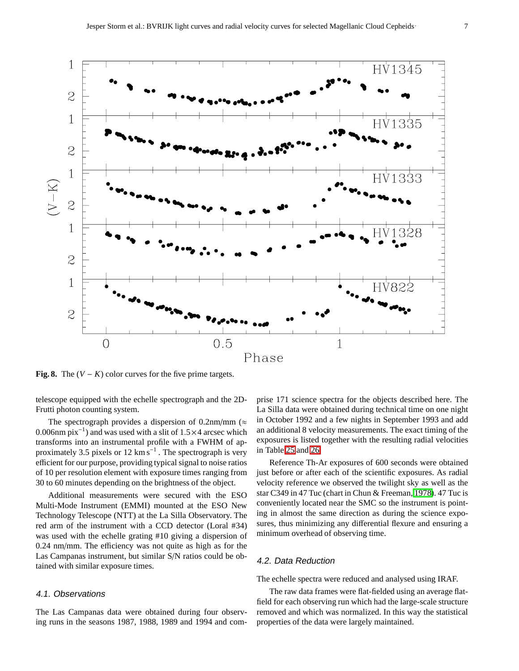

<span id="page-6-0"></span>**Fig. 8.** The  $(V - K)$  color curves for the five prime targets.

telescope equipped with the echelle spectrograph and the 2D-Frutti photon counting system.

The spectrograph provides a dispersion of 0.2nm/mm ( $\approx$ 0.006nm  $pix^{-1}$ ) and was used with a slit of 1.5 × 4 arcsec which transforms into an instrumental profile with a FWHM of approximately 3.5 pixels or 12  $\text{km s}^{-1}$ . The spectrograph is very efficient for our purpose, providing typical signal to noise ratios of 10 per resolution element with exposure times ranging from 30 to 60 minutes depending on the brightness of the object.

Additional measurements were secured with the ESO Multi-Mode Instrument (EMMI) mounted at the ESO New Technology Telescope (NTT) at the La Silla Observatory. The red arm of the instrument with a CCD detector (Loral #34) was used with the echelle grating #10 giving a dispersion of 0.24 nm/mm. The efficiency was not quite as high as for the Las Campanas instrument, but similar S/N ratios could be obtained with similar exposure times.

## 4.1. Observations

The Las Campanas data were obtained during four observing runs in the seasons 1987, 1988, 1989 and 1994 and com-

prise 171 science spectra for the objects described here. The La Silla data were obtained during technical time on one night in October 1992 and a few nights in September 1993 and add an additional 8 velocity measurements. The exact timing of the exposures is listed together with the resulting radial velocities in Table [25](#page-20-0) and [26.](#page-21-0)

Reference Th-Ar exposures of 600 seconds were obtained just before or after each of the scientific exposures. As radial velocity reference we observed the twilight sky as well as the star C349 in 47 Tuc (chart in Chun & Freeman, [1978\)](#page-9-15). 47 Tuc is conveniently located near the SMC so the instrument is pointing in almost the same direction as during the science exposures, thus minimizing any differential flexure and ensuring a minimum overhead of observing time.

## 4.2. Data Reduction

The echelle spectra were reduced and analysed using IRAF.

The raw data frames were flat-fielded using an average flatfield for each observing run which had the large-scale structure removed and which was normalized. In this way the statistical properties of the data were largely maintained.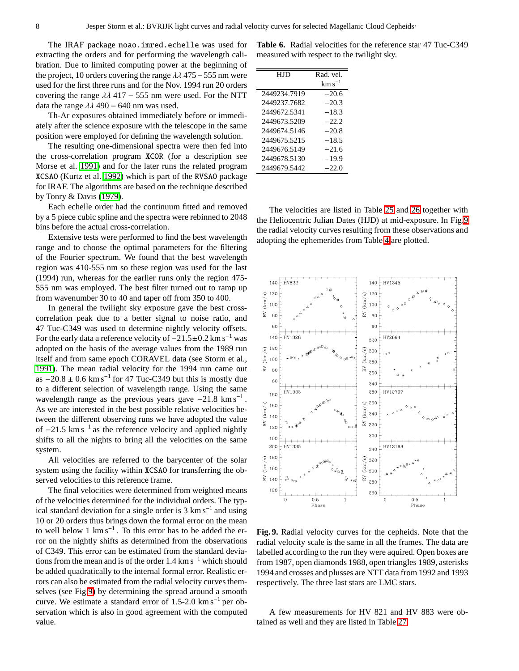The IRAF package noao.imred.echelle was used for extracting the orders and for performing the wavelength calibration. Due to limited computing power at the beginning of the project, 10 orders covering the range  $\lambda\lambda$  475 – 555 nm were used for the first three runs and for the Nov. 1994 run 20 orders covering the range  $\lambda \lambda$  417 – 555 nm were used. For the NTT data the range  $\lambda\lambda$  490 – 640 nm was used.

Th-Ar exposures obtained immediately before or immediately after the science exposure with the telescope in the same position were employed for defining the wavelength solution.

The resulting one-dimensional spectra were then fed into the cross-correlation program XCOR (for a description see Morse et al. [1991\)](#page-9-16) and for the later runs the related program XCSAO (Kurtz et al. [1992\)](#page-9-17) which is part of the RVSAO package for IRAF. The algorithms are based on the technique described by Tonry & Davis [\(1979\)](#page-9-18).

Each echelle order had the continuum fitted and removed by a 5 piece cubic spline and the spectra were rebinned to 2048 bins before the actual cross-correlation.

Extensive tests were performed to find the best wavelength range and to choose the optimal parameters for the filtering of the Fourier spectrum. We found that the best wavelength region was 410-555 nm so these region was used for the last (1994) run, whereas for the earlier runs only the region 475- 555 nm was employed. The best filter turned out to ramp up from wavenumber 30 to 40 and taper off from 350 to 400.

In general the twilight sky exposure gave the best crosscorrelation peak due to a better signal to noise ratio, and 47 Tuc-C349 was used to determine nightly velocity offsets. For the early data a reference velocity of  $-21.5\pm0.2$  km s<sup>-1</sup> was adopted on the basis of the average values from the 1989 run itself and from same epoch CORAVEL data (see Storm et al., [1991\)](#page-9-19). The mean radial velocity for the 1994 run came out as  $-20.8 \pm 0.6$  km s<sup>-1</sup> for 47 Tuc-C349 but this is mostly due to a different selection of wavelength range. Using the same wavelength range as the previous years gave  $-21.8 \text{ km s}^{-1}$ . As we are interested in the best possible relative velocities between the different observing runs we have adopted the value of  $-21.5$  km s<sup>-1</sup> as the reference velocity and applied nightly shifts to all the nights to bring all the velocities on the same system.

All velocities are referred to the barycenter of the solar system using the facility within XCSAO for transferring the observed velocities to this reference frame.

The final velocities were determined from weighted means of the velocities determined for the individual orders. The typical standard deviation for a single order is  $3 \text{ km s}^{-1}$  and using 10 or 20 orders thus brings down the formal error on the mean to well below 1  $km s^{-1}$ . To this error has to be added the error on the nightly shifts as determined from the observations of C349. This error can be estimated from the standard deviations from the mean and is of the order  $1.4 \text{ km s}^{-1}$  which should be added quadratically to the internal formal error. Realistic errors can also be estimated from the radial velocity curves themselves (see Fig[.9\)](#page-7-0) by determining the spread around a smooth curve. We estimate a standard error of  $1.5$ -2.0 km s<sup>-1</sup> per observation which is also in good agreement with the computed value.

**Table 6.** Radial velocities for the reference star 47 Tuc-C349 measured with respect to the twilight sky.

| H.ID         | Rad. vel.   |
|--------------|-------------|
|              | $km s^{-1}$ |
| 2449234.7919 | $-20.6$     |
| 2449237.7682 | $-20.3$     |
| 2449672.5341 | $-18.3$     |
| 2449673.5209 | $-22.2$     |
| 2449674.5146 | $-20.8$     |
| 2449675.5215 | $-18.5$     |
| 2449676.5149 | $-21.6$     |
| 2449678.5130 | $-19.9$     |
| 2449679.5442 | $-22.0$     |

The velocities are listed in Table [25](#page-20-0) and [26](#page-21-0) together with the Heliocentric Julian Dates (HJD) at mid-exposure. In Fig[.9](#page-7-0) the radial velocity curves resulting from these observations and adopting the ephemerides from Table [4](#page-2-2) are plotted.



<span id="page-7-0"></span>**Fig. 9.** Radial velocity curves for the cepheids. Note that the radial velocity scale is the same in all the frames. The data are labelled according to the run they were aquired. Open boxes are from 1987, open diamonds 1988, open triangles 1989, asterisks 1994 and crosses and plusses are NTT data from 1992 and 1993 respectively. The three last stars are LMC stars.

A few measurements for HV 821 and HV 883 were obtained as well and they are listed in Table [27.](#page-22-0)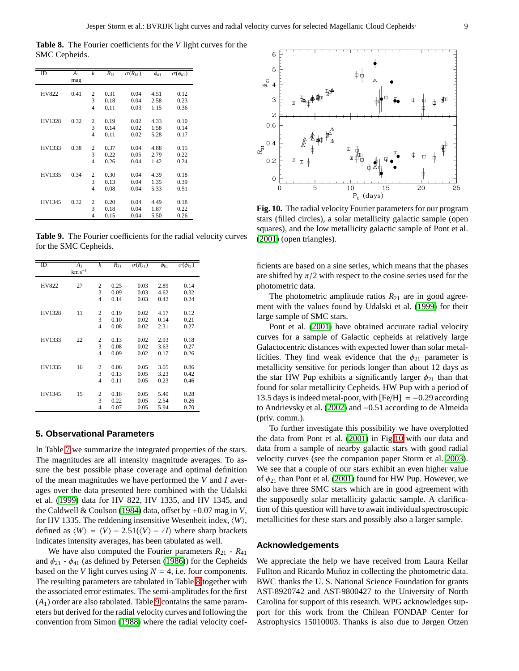<span id="page-8-0"></span>**Table 8.** The Fourier coefficients for the *V* light curves for the SMC Cepheids.

| ID     | A <sub>1</sub><br>mag | $\boldsymbol{k}$ | $R_{k1}$ | $\sigma(R_{k1})$ | $\phi_{k1}$ | $\sigma(\phi_{k1})$ |
|--------|-----------------------|------------------|----------|------------------|-------------|---------------------|
|        |                       |                  |          |                  |             |                     |
| HV822  | 0.41                  | $\overline{2}$   | 0.31     | 0.04             | 4.51        | 0.12                |
|        |                       | 3                | 0.18     | 0.04             | 2.58        | 0.23                |
|        |                       | 4                | 0.11     | 0.03             | 1.15        | 0.36                |
|        |                       |                  |          |                  |             |                     |
| HV1328 | 0.32                  | $\boldsymbol{2}$ | 0.19     | 0.02             | 4.33        | 0.10                |
|        |                       | 3                | 0.14     | 0.02             | 1.58        | 0.14                |
|        |                       | 4                | 0.11     | 0.02             | 5.28        | 0.17                |
|        |                       |                  |          |                  |             |                     |
| HV1333 | 0.38                  | $\boldsymbol{2}$ | 0.37     | 0.04             | 4.88        | 0.15                |
|        |                       | 3                | 0.22     | 0.05             | 2.79        | 0.22                |
|        |                       | 4                | 0.26     | 0.04             | 1.42        | 0.24                |
|        |                       |                  |          |                  |             |                     |
| HV1335 | 0.34                  | $\overline{c}$   | 0.30     | 0.04             | 4.39        | 0.18                |
|        |                       | 3                | 0.13     | 0.04             | 1.35        | 0.39                |
|        |                       | 4                | 0.08     | 0.04             | 5.33        | 0.51                |
|        |                       |                  |          |                  |             |                     |
| HV1345 | 0.32                  | 2                | 0.20     | 0.04             | 4.49        | 0.18                |
|        |                       | 3                | 0.18     | 0.04             | 1.87        | 0.22                |
|        |                       | 4                | 0.15     | 0.04             | 5.50        | 0.26                |

<span id="page-8-1"></span>**Table 9.** The Fourier coefficients for the radial velocity curves for the SMC Cepheids.

| ID     | A <sub>1</sub><br>$km s^{-1}$ | k              | $R_{k1}$ | $\overline{\sigma(R_{k1})}$ | $\phi_{k1}$ | $\sigma(\phi_{k1})$ |
|--------|-------------------------------|----------------|----------|-----------------------------|-------------|---------------------|
|        |                               |                |          |                             |             |                     |
| HV822  | 27                            | 2              | 0.25     | 0.03                        | 2.89        | 0.14                |
|        |                               | 3              | 0.09     | 0.03                        | 4.62        | 0.32                |
|        |                               | $\overline{4}$ | 0.14     | 0.03                        | 0.42        | 0.24                |
|        |                               |                |          |                             |             |                     |
| HV1328 | 11                            | 2              | 0.19     | 0.02                        | 4.17        | 0.12                |
|        |                               | 3              | 0.10     | 0.02                        | 0.14        | 0.21                |
|        |                               | $\overline{4}$ | 0.08     | 0.02                        | 2.31        | 0.27                |
|        |                               |                |          |                             |             |                     |
| HV1333 | 22                            | 2              | 0.13     | 0.02                        | 2.93        | 0.18                |
|        |                               | 3              | 0.08     | 0.02                        | 3.63        | 0.27                |
|        |                               | $\overline{4}$ | 0.09     | 0.02                        | 0.17        | 0.26                |
|        |                               |                |          |                             |             |                     |
| HV1335 | 16                            | 2              | 0.06     | 0.05                        | 3.05        | 0.86                |
|        |                               | $\overline{3}$ | 0.13     | 0.05                        | 3.23        | 0.42                |
|        |                               | 4              | 0.11     | 0.05                        | 0.23        | 0.46                |
|        |                               |                |          |                             |             |                     |
| HV1345 | 15                            | 2              | 0.18     | 0.05                        | 5.40        | 0.28                |
|        |                               | 3              | 0.22     | 0.05                        | 2.54        | 0.26                |
|        |                               | $\overline{4}$ | 0.07     | 0.05                        | 5.94        | 0.70                |

#### **5. Observational Parameters**

In Table [7](#page-9-20) we summarize the integrated properties of the stars. The magnitudes are all intensity magnitude averages. To assure the best possible phase coverage and optimal definition of the mean magnitudes we have performed the *V* and *I* averages over the data presented here combined with the Udalski et al. [\(1999\)](#page-9-9) data for HV 822, HV 1335, and HV 1345, and the Caldwell & Coulson [\(1984\)](#page-9-10) data, offset by +0.07 mag in *V*, for HV 1335. The reddening insensitive Wesenheit index,  $\langle W \rangle$ , defined as  $\langle W \rangle = \langle V \rangle - 2.51(\langle V \rangle - \angle I)$  where sharp brackets indicates intensity averages, has been tabulated as well.

We have also computed the Fourier parameters  $R_{21}$  -  $R_{41}$ and  $\phi_{21}$  -  $\phi_{41}$  (as defined by Petersen [\(1986\)](#page-9-21)) for the Cepheids based on the *V* light curves using  $N = 4$ , i.e. four components. The resulting parameters are tabulated in Table [8](#page-8-0) together with the associated error estimates. The semi-amplitudes for the first  $(A<sub>1</sub>)$  order are also tabulated. Table [9](#page-8-1) contains the same parameters but derived for the radial velocity curves and following the convention from Simon [\(1988\)](#page-9-22) where the radial velocity coef-



<span id="page-8-2"></span>**Fig. 10.** The radial velocity Fourier parameters for our program stars (filled circles), a solar metallicity galactic sample (open squares), and the low metallicity galactic sample of Pont et al. [\(2001\)](#page-9-23) (open triangles).

ficients are based on a sine series, which means that the phases are shifted by  $\pi/2$  with respect to the cosine series used for the photometric data.

The photometric amplitude ratios  $R_{21}$  are in good agreement with the values found by Udalski et al. [\(1999\)](#page-9-9) for their large sample of SMC stars.

Pont et al. [\(2001\)](#page-9-23) have obtained accurate radial velocity curves for a sample of Galactic cepheids at relatively large Galactocentric distances with expected lower than solar metallicities. They find weak evidence that the  $\phi_{21}$  parameter is metallicity sensitive for periods longer than about 12 days as the star HW Pup exhibits a significantly larger  $\phi_{21}$  than that found for solar metallicity Cepheids. HW Pup with a period of 13.5 days is indeed metal-poor, with  $[Fe/H] = -0.29$  according to Andrievsky et al. [\(2002\)](#page-9-24) and −0.51 according to de Almeida (priv. comm.).

To further investigate this possibility we have overplotted the data from Pont et al. [\(2001\)](#page-9-23) in Fig[.10](#page-8-2) with our data and data from a sample of nearby galactic stars with good radial velocity curves (see the companion paper Storm et al. [2003\)](#page-9-5). We see that a couple of our stars exhibit an even higher value of  $\phi_{21}$  than Pont et al. [\(2001\)](#page-9-23) found for HW Pup. However, we also have three SMC stars which are in good agreement with the supposedly solar metallicity galactic sample. A clarification of this question will have to await individual spectroscopic metallicities for these stars and possibly also a larger sample.

#### **Acknowledgements**

We appreciate the help we have received from Laura Kellar Fullton and Ricardo Muñoz in collecting the photometric data. BWC thanks the U. S. National Science Foundation for grants AST-8920742 and AST-9800427 to the University of North Carolina for support of this research. WPG acknowledges support for this work from the Chilean FONDAP Center for Astrophysics 15010003. Thanks is also due to Jørgen Otzen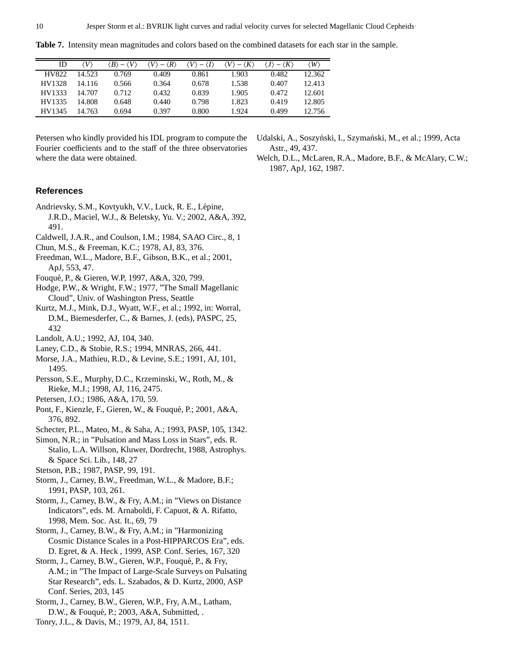<span id="page-9-20"></span>**Table 7.** Intensity mean magnitudes and colors based on the combined datasets for each star in the sample.

| ID     | V      | $\langle B \rangle -$ | $\langle R \rangle$ |       | $\langle K$ | $-\langle K \rangle$ | $\langle W \rangle$ |
|--------|--------|-----------------------|---------------------|-------|-------------|----------------------|---------------------|
| HV822  | 14.523 | 0.769                 | 0.409               | 0.861 | 1.903       | 0.482                | 12.362              |
| HV1328 | 14.116 | 0.566                 | 0.364               | 0.678 | 1.538       | 0.407                | 12.413              |
| HV1333 | 14.707 | 0.712                 | 0.432               | 0.839 | 1.905       | 0.472                | 12.601              |
| HV1335 | 14.808 | 0.648                 | 0.440               | 0.798 | 1.823       | 0.419                | 12.805              |
| HV1345 | 14.763 | 0.694                 | 0.397               | 0.800 | 1.924       | 0.499                | 12.756              |

Petersen who kindly provided his IDL program to compute the Fourier coefficients and to the staff of the three observatories where the data were obtained.

<span id="page-9-14"></span><span id="page-9-9"></span>Udalski, A., Soszyński, I., Szymański, M., et al.; 1999, Acta Astr., 49, 437.

Welch, D.L., McLaren, R.A., Madore, B.F., & McAlary, C.W.; 1987, ApJ, 162, 1987.

## <span id="page-9-24"></span>**References**

- Andrievsky, S.M., Kovtyukh, V.V., Luck, R. E., Lépine, J.R.D., Maciel, W.J., & Beletsky, Yu. V.; 2002, A&A, 392, 491.
- <span id="page-9-15"></span><span id="page-9-10"></span>Caldwell, J.A.R., and Coulson, I.M.; 1984, SAAO Circ., 8, 1
- <span id="page-9-0"></span>Chun, M.S., & Freeman, K.C.; 1978, AJ, 83, 376.
- Freedman, W.L., Madore, B.F., Gibson, B.K., et al.; 2001, ApJ, 553, 47.
- <span id="page-9-6"></span><span id="page-9-1"></span>Fouqu´e, P., & Gieren, W.P, 1997, A&A, 320, 799.
- <span id="page-9-17"></span>Hodge, P.W., & Wright, F.W.; 1977, "The Small Magellanic Cloud", Univ. of Washington Press, Seattle
- Kurtz, M.J., Mink, D.J., Wyatt, W.F., et al.; 1992, in: Worral, D.M., Biemesderfer, C., & Barnes, J. (eds), PASPC, 25, 432
- <span id="page-9-16"></span><span id="page-9-11"></span><span id="page-9-8"></span>Landolt, A.U.; 1992, AJ, 104, 340.
- Laney, C.D., & Stobie, R.S.; 1994, MNRAS, 266, 441.
- Morse, J.A., Mathieu, R.D., & Levine, S.E.; 1991, AJ, 101, 1495.
- <span id="page-9-21"></span><span id="page-9-13"></span>Persson, S.E., Murphy, D.C., Krzeminski, W., Roth, M., & Rieke, M.J.; 1998, AJ, 116, 2475.
- <span id="page-9-23"></span>Petersen, J.O.; 1986, A&A, 170, 59.
- <span id="page-9-7"></span>Pont, F., Kienzle, F., Gieren, W., & Fouqué, P.; 2001, A&A, 376, 892.
- <span id="page-9-22"></span>Schecter, P.L., Mateo, M., & Saha, A.; 1993, PASP, 105, 1342.
- Simon, N.R.; in "Pulsation and Mass Loss in Stars", eds. R. Stalio, L.A. Willson, Kluwer, Dordrecht, 1988, Astrophys. & Space Sci. Lib., 148, 27
- <span id="page-9-19"></span><span id="page-9-12"></span>Stetson, P.B.; 1987, PASP, 99, 191.
- <span id="page-9-2"></span>Storm, J., Carney, B.W., Freedman, W.L., & Madore, B.F.; 1991, PASP, 103, 261.
- Storm, J., Carney, B.W., & Fry, A.M.; in "Views on Distance Indicators", eds. M. Arnaboldi, F. Capuot, & A. Rifatto, 1998, Mem. Soc. Ast. It., 69, 79
- <span id="page-9-3"></span>Storm, J., Carney, B.W., & Fry, A.M.; in "Harmonizing Cosmic Distance Scales in a Post-HIPPARCOS Era", eds. D. Egret, & A. Heck , 1999, ASP. Conf. Series, 167, 320
- <span id="page-9-4"></span>Storm, J., Carney, B.W., Gieren, W.P., Fouqué, P., & Fry, A.M.; in "The Impact of Large-Scale Surveys on Pulsating Star Research", eds. L. Szabados, & D. Kurtz, 2000, ASP Conf. Series, 203, 145
- <span id="page-9-18"></span><span id="page-9-5"></span>Storm, J., Carney, B.W., Gieren, W.P., Fry, A.M., Latham, D.W., & Fouqué, P.; 2003, A&A, Submitted, .
- Tonry, J.L., & Davis, M.; 1979, AJ, 84, 1511.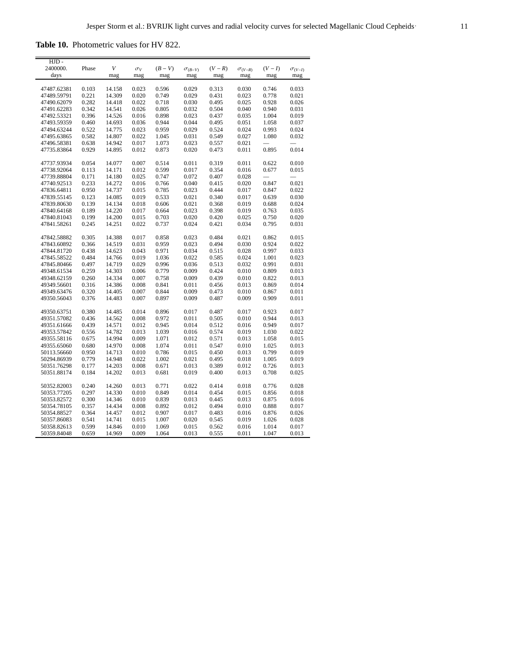<span id="page-10-0"></span>**Table 10.** Photometric values for HV 822.

| HJD -       |       |        |            |         |                  |         |                  |         |                  |
|-------------|-------|--------|------------|---------|------------------|---------|------------------|---------|------------------|
| 2400000.    | Phase | V      | $\sigma_V$ | $(B-V)$ | $\sigma_{(B-V)}$ | $(V-R)$ | $\sigma_{(V-R)}$ | $(V-I)$ | $\sigma_{(V-I)}$ |
| days        |       | mag    | mag        | mag     | mag              | mag     | mag              | mag     | mag              |
|             |       |        |            |         |                  |         |                  |         |                  |
| 47487.62381 | 0.103 | 14.158 | 0.023      | 0.596   | 0.029            | 0.313   | 0.030            | 0.746   | 0.033            |
| 47489.59791 | 0.221 | 14.309 | 0.020      | 0.749   | 0.029            | 0.431   | 0.023            | 0.778   | 0.021            |
| 47490.62079 | 0.282 | 14.418 | 0.022      | 0.718   | 0.030            | 0.495   | 0.025            | 0.928   | 0.026            |
| 47491.62283 | 0.342 | 14.541 | 0.026      | 0.805   | 0.032            | 0.504   | 0.040            | 0.940   | 0.031            |
| 47492.53321 | 0.396 | 14.526 | 0.016      | 0.898   | 0.023            | 0.437   | 0.035            | 1.004   | 0.019            |
| 47493.59359 | 0.460 | 14.693 | 0.036      | 0.944   | 0.044            | 0.495   | 0.051            | 1.058   | 0.037            |
| 47494.63244 | 0.522 | 14.775 | 0.023      | 0.959   | 0.029            | 0.524   | 0.024            | 0.993   | 0.024            |
| 47495.63865 | 0.582 | 14.807 | 0.022      | 1.045   | 0.031            | 0.549   | 0.027            | 1.080   | 0.032            |
| 47496.58381 | 0.638 | 14.942 | 0.017      | 1.073   | 0.023            | 0.557   | 0.021            |         |                  |
| 47735.83864 | 0.929 | 14.895 | 0.012      | 0.873   | 0.020            | 0.473   | 0.011            | 0.895   | 0.014            |
|             |       |        |            |         |                  |         |                  |         |                  |
| 47737.93934 | 0.054 | 14.077 | 0.007      | 0.514   | 0.011            | 0.319   | 0.011            | 0.622   | 0.010            |
| 47738.92064 | 0.113 | 14.171 | 0.012      | 0.599   | 0.017            | 0.354   | 0.016            | 0.677   | 0.015            |
| 47739.88804 | 0.171 | 14.180 | 0.025      | 0.747   | 0.072            | 0.407   | 0.028            |         |                  |
| 47740.92513 | 0.233 | 14.272 | 0.016      | 0.766   | 0.040            | 0.415   | 0.020            | 0.847   | 0.021            |
| 47836.64811 | 0.950 | 14.737 | 0.015      | 0.785   | 0.023            | 0.444   | 0.017            | 0.847   | 0.022            |
| 47839.55145 | 0.123 | 14.085 | 0.019      | 0.533   | 0.021            | 0.340   | 0.017            | 0.639   | 0.030            |
|             |       | 14.134 | 0.018      |         | 0.021            |         | 0.019            |         | 0.024            |
| 47839.80630 | 0.139 |        |            | 0.606   |                  | 0.368   |                  | 0.688   |                  |
| 47840.64168 | 0.189 | 14.220 | 0.017      | 0.664   | 0.023            | 0.398   | 0.019            | 0.763   | 0.035            |
| 47840.81043 | 0.199 | 14.200 | 0.015      | 0.703   | 0.020            | 0.420   | 0.025            | 0.750   | 0.020            |
| 47841.58261 | 0.245 | 14.251 | 0.022      | 0.737   | 0.024            | 0.421   | 0.034            | 0.795   | 0.031            |
| 47842.58882 | 0.305 | 14.388 | 0.017      | 0.858   | 0.023            | 0.484   | 0.021            | 0.862   | 0.015            |
| 47843.60892 | 0.366 | 14.519 | 0.031      | 0.959   | 0.023            | 0.494   | 0.030            | 0.924   | 0.022            |
| 47844.81720 | 0.438 | 14.623 | 0.043      | 0.971   | 0.034            | 0.515   | 0.028            | 0.997   | 0.033            |
| 47845.58522 | 0.484 | 14.766 | 0.019      | 1.036   | 0.022            | 0.585   | 0.024            | 1.001   | 0.023            |
| 47845.80466 | 0.497 | 14.719 | 0.029      | 0.996   | 0.036            | 0.513   | 0.032            | 0.991   | 0.031            |
| 49348.61534 | 0.259 | 14.303 | 0.006      | 0.779   | 0.009            | 0.424   | 0.010            | 0.809   | 0.013            |
|             |       |        |            |         |                  |         |                  |         |                  |
| 49348.62159 | 0.260 | 14.334 | 0.007      | 0.758   | 0.009            | 0.439   | 0.010            | 0.822   | 0.013            |
| 49349.56601 | 0.316 | 14.386 | 0.008      | 0.841   | 0.011            | 0.456   | 0.013            | 0.869   | 0.014            |
| 49349.63476 | 0.320 | 14.405 | 0.007      | 0.844   | 0.009            | 0.473   | 0.010            | 0.867   | 0.011            |
| 49350.56043 | 0.376 | 14.483 | 0.007      | 0.897   | 0.009            | 0.487   | 0.009            | 0.909   | 0.011            |
| 49350.63751 | 0.380 | 14.485 | 0.014      | 0.896   | 0.017            | 0.487   | 0.017            | 0.923   | 0.017            |
| 49351.57082 | 0.436 | 14.562 | 0.008      | 0.972   | 0.011            | 0.505   | 0.010            | 0.944   | 0.013            |
| 49351.61666 | 0.439 | 14.571 | 0.012      | 0.945   | 0.014            | 0.512   | 0.016            | 0.949   | 0.017            |
| 49353.57842 | 0.556 | 14.782 | 0.013      | 1.039   | 0.016            | 0.574   | 0.019            | 1.030   | 0.022            |
| 49355.58116 | 0.675 | 14.994 | 0.009      | 1.071   | 0.012            | 0.571   | 0.013            | 1.058   | 0.015            |
| 49355.65060 | 0.680 | 14.970 | 0.008      | 1.074   | 0.011            | 0.547   | 0.010            | 1.025   | 0.013            |
| 50113.56660 | 0.950 | 14.713 | 0.010      | 0.786   | 0.015            | 0.450   | 0.013            | 0.799   | 0.019            |
| 50294.86939 | 0.779 | 14.948 | 0.022      | 1.002   | 0.021            |         | 0.018            | 1.005   |                  |
|             | 0.177 | 14.203 |            | 0.671   | 0.013            | 0.495   | 0.012            | 0.726   | 0.019            |
| 50351.76298 |       |        | 0.008      |         |                  | 0.389   |                  |         | 0.013            |
| 50351.88174 | 0.184 | 14.202 | 0.013      | 0.681   | 0.019            | 0.400   | 0.013            | 0.708   | 0.025            |
| 50352.82003 | 0.240 | 14.260 | 0.013      | 0.771   | 0.022            | 0.414   | 0.018            | 0.776   | 0.028            |
| 50353.77205 | 0.297 | 14.330 | 0.010      | 0.849   | 0.014            | 0.454   | 0.015            | 0.856   | 0.018            |
| 50353.82572 | 0.300 | 14.346 | 0.010      | 0.839   | 0.013            | 0.445   | 0.013            | 0.875   | 0.016            |
| 50354.78105 | 0.357 | 14.434 | 0.008      | 0.892   | 0.012            | 0.494   | 0.010            | 0.888   | 0.017            |
| 50354.88527 | 0.364 | 14.457 | 0.012      | 0.907   | 0.017            | 0.483   | 0.016            | 0.876   | 0.026            |
| 50357.86083 | 0.541 | 14.741 | 0.015      | 1.007   | 0.020            | 0.545   | 0.019            | 1.026   | 0.028            |
| 50358.82613 | 0.599 | 14.846 | 0.010      | 1.069   | 0.015            | 0.562   | 0.016            | 1.014   | 0.017            |
| 50359.84048 | 0.659 | 14.969 | 0.009      | 1.064   | 0.013            | 0.555   | 0.011            | 1.047   | 0.013            |
|             |       |        |            |         |                  |         |                  |         |                  |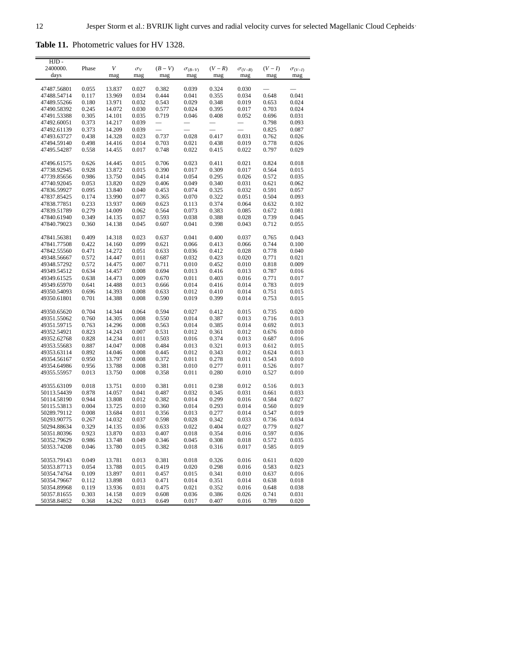**Table 11.** Photometric values for HV 1328.

| HJD-        |       |        |            |                          |                   |         |                  |         |                  |
|-------------|-------|--------|------------|--------------------------|-------------------|---------|------------------|---------|------------------|
| 2400000.    | Phase | V      | $\sigma_V$ | $(B-V)$                  | $\sigma_{(B-V)}$  | $(V-R)$ | $\sigma_{(V-R)}$ | $(V-I)$ | $\sigma_{(V-I)}$ |
| days        |       | mag    | mag        | mag                      | mag               | mag     | mag              | mag     | mag              |
|             |       |        |            |                          |                   |         |                  |         |                  |
| 47487.56801 | 0.055 | 13.837 | 0.027      | 0.382                    | 0.039             | 0.324   | 0.030            |         |                  |
| 47488.54714 | 0.117 | 13.969 | 0.034      | 0.444                    | 0.041             | 0.355   | 0.034            | 0.648   | 0.041            |
| 47489.55266 | 0.180 | 13.971 | 0.032      | 0.543                    | 0.029             | 0.348   | 0.019            | 0.653   | 0.024            |
| 47490.58392 | 0.245 | 14.072 | 0.030      | 0.577                    | 0.024             | 0.395   | 0.017            | 0.703   | 0.024            |
| 47491.53388 | 0.305 | 14.101 | 0.035      | 0.719                    | 0.046             | 0.408   | 0.052            | 0.696   | 0.031            |
| 47492.60051 | 0.373 | 14.217 | 0.039      |                          | $\qquad \qquad -$ |         |                  | 0.798   | 0.093            |
| 47492.61139 | 0.373 | 14.209 | 0.039      | $\overline{\phantom{0}}$ |                   |         |                  | 0.825   | 0.087            |
|             |       |        |            |                          |                   |         |                  |         |                  |
| 47493.63727 | 0.438 | 14.328 | 0.023      | 0.737                    | 0.028             | 0.417   | 0.031            | 0.762   | 0.026            |
| 47494.59140 | 0.498 | 14.416 | 0.014      | 0.703                    | 0.021             | 0.438   | 0.019            | 0.778   | 0.026            |
| 47495.54287 | 0.558 | 14.455 | 0.017      | 0.748                    | 0.022             | 0.415   | 0.022            | 0.797   | 0.029            |
|             |       |        |            |                          |                   |         |                  |         |                  |
| 47496.61575 | 0.626 | 14.445 | 0.015      | 0.706                    | 0.023             | 0.411   | 0.021            | 0.824   | 0.018            |
| 47738.92945 | 0.928 | 13.872 | 0.015      | 0.390                    | 0.017             | 0.309   | 0.017            | 0.564   | 0.015            |
| 47739.85656 | 0.986 | 13.750 | 0.045      | 0.414                    | 0.054             | 0.295   | 0.026            | 0.572   | 0.035            |
| 47740.92045 | 0.053 | 13.820 | 0.029      | 0.406                    | 0.049             | 0.340   | 0.031            | 0.621   | 0.062            |
|             | 0.095 |        | 0.040      | 0.453                    | 0.074             |         | 0.032            | 0.591   |                  |
| 47836.59927 |       | 13.840 |            |                          |                   | 0.325   |                  |         | 0.057            |
| 47837.85425 | 0.174 | 13.990 | 0.077      | 0.365                    | 0.070             | 0.322   | 0.051            | 0.504   | 0.093            |
| 47838.77851 | 0.233 | 13.937 | 0.069      | 0.623                    | 0.113             | 0.374   | 0.064            | 0.632   | 0.102            |
| 47839.51789 | 0.279 | 14.009 | 0.062      | 0.564                    | 0.073             | 0.383   | 0.085            | 0.672   | 0.081            |
| 47840.61940 | 0.349 | 14.135 | 0.037      | 0.593                    | 0.038             | 0.388   | 0.028            | 0.739   | 0.045            |
| 47840.79023 | 0.360 | 14.138 | 0.045      | 0.607                    | 0.041             | 0.398   | 0.043            | 0.712   | 0.055            |
|             |       |        |            |                          |                   |         |                  |         |                  |
| 47841.56381 | 0.409 | 14.318 | 0.023      | 0.637                    | 0.041             | 0.400   | 0.037            | 0.765   | 0.043            |
| 47841.77508 | 0.422 | 14.160 | 0.099      | 0.621                    | 0.066             | 0.413   | 0.066            | 0.744   | 0.100            |
| 47842.55560 | 0.471 | 14.272 | 0.051      | 0.633                    | 0.036             | 0.412   | 0.028            | 0.778   | 0.040            |
|             |       |        |            |                          |                   |         |                  |         |                  |
| 49348.56667 | 0.572 | 14.447 | 0.011      | 0.687                    | 0.032             | 0.423   | 0.020            | 0.771   | 0.021            |
| 49348.57292 | 0.572 | 14.475 | 0.007      | 0.711                    | 0.010             | 0.452   | 0.010            | 0.818   | 0.009            |
| 49349.54512 | 0.634 | 14.457 | 0.008      | 0.694                    | 0.013             | 0.416   | 0.013            | 0.787   | 0.016            |
| 49349.61525 | 0.638 | 14.473 | 0.009      | 0.670                    | 0.011             | 0.403   | 0.016            | 0.771   | 0.017            |
| 49349.65970 | 0.641 | 14.488 | 0.013      | 0.666                    | 0.014             | 0.416   | 0.014            | 0.783   | 0.019            |
| 49350.54093 | 0.696 | 14.393 | 0.008      | 0.633                    | 0.012             | 0.410   | 0.014            | 0.751   | 0.015            |
| 49350.61801 | 0.701 | 14.388 | 0.008      | 0.590                    | 0.019             | 0.399   | 0.014            | 0.753   | 0.015            |
|             |       |        |            |                          |                   |         |                  |         |                  |
| 49350.65620 | 0.704 | 14.344 | 0.064      | 0.594                    | 0.027             | 0.412   | 0.015            | 0.735   | 0.020            |
| 49351.55062 | 0.760 | 14.305 | 0.008      | 0.550                    | 0.014             | 0.387   | 0.013            | 0.716   | 0.013            |
|             |       |        |            |                          |                   |         |                  |         |                  |
| 49351.59715 | 0.763 | 14.296 | 0.008      | 0.563                    | 0.014             | 0.385   | 0.014            | 0.692   | 0.013            |
| 49352.54921 | 0.823 | 14.243 | 0.007      | 0.531                    | 0.012             | 0.361   | 0.012            | 0.676   | 0.010            |
| 49352.62768 | 0.828 | 14.234 | 0.011      | 0.503                    | 0.016             | 0.374   | 0.013            | 0.687   | 0.016            |
| 49353.55683 | 0.887 | 14.047 | 0.008      | 0.484                    | 0.013             | 0.321   | 0.013            | 0.612   | 0.015            |
| 49353.63114 | 0.892 | 14.046 | 0.008      | 0.445                    | 0.012             | 0.343   | 0.012            | 0.624   | 0.013            |
| 49354.56167 | 0.950 | 13.797 | 0.008      | 0.372                    | 0.011             | 0.278   | 0.011            | 0.543   | 0.010            |
| 49354.64986 | 0.956 | 13.788 | 0.008      | 0.381                    | 0.010             | 0.277   | 0.011            | 0.526   | 0.017            |
| 49355.55957 | 0.013 | 13.750 | 0.008      | 0.358                    | 0.011             | 0.280   | 0.010            | 0.527   | 0.010            |
|             |       |        |            |                          |                   |         |                  |         |                  |
| 49355.63109 | 0.018 | 13.751 | 0.010      | 0.381                    | 0.011             | 0.238   | 0.012            | 0.516   | 0.013            |
| 50113.54439 | 0.878 | 14.057 | 0.041      | 0.487                    | 0.032             | 0.345   | 0.031            | 0.661   | 0.033            |
|             | 0.944 | 13.808 | 0.012      | 0.382                    | 0.014             |         | 0.016            | 0.584   | 0.027            |
| 50114.58190 |       |        |            |                          |                   | 0.299   |                  |         |                  |
| 50115.53813 | 0.004 | 13.725 | 0.010      | 0.360                    | 0.014             | 0.293   | 0.014            | 0.560   | 0.019            |
| 50289.79112 | 0.008 | 13.684 | 0.011      | 0.356                    | 0.013             | 0.277   | 0.014            | 0.547   | 0.019            |
| 50293.90775 | 0.267 | 14.032 | 0.037      | 0.598                    | 0.028             | 0.342   | 0.033            | 0.736   | 0.034            |
| 50294.88634 | 0.329 | 14.135 | 0.036      | 0.633                    | 0.022             | 0.404   | 0.027            | 0.779   | 0.027            |
| 50351.80396 | 0.923 | 13.870 | 0.033      | 0.407                    | 0.018             | 0.354   | 0.016            | 0.597   | 0.036            |
| 50352.79629 | 0.986 | 13.748 | 0.049      | 0.346                    | 0.045             | 0.308   | 0.018            | 0.572   | 0.035            |
| 50353.74208 | 0.046 | 13.780 | 0.015      | 0.382                    | 0.018             | 0.316   | 0.017            | 0.585   | 0.019            |
|             |       |        |            |                          |                   |         |                  |         |                  |
| 50353.79143 | 0.049 | 13.781 | 0.013      | 0.381                    | 0.018             | 0.326   | 0.016            | 0.611   | 0.020            |
| 50353.87713 | 0.054 | 13.788 | 0.015      | 0.419                    | 0.020             | 0.298   | 0.016            | 0.583   | 0.023            |
|             |       |        |            | 0.457                    |                   |         |                  |         | 0.016            |
| 50354.74764 | 0.109 | 13.897 | 0.011      |                          | 0.015             | 0.341   | 0.010            | 0.637   |                  |
| 50354.79667 | 0.112 | 13.898 | 0.013      | 0.471                    | 0.014             | 0.351   | 0.014            | 0.638   | 0.018            |
| 50354.89968 | 0.119 | 13.936 | 0.031      | 0.475                    | 0.021             | 0.352   | 0.016            | 0.648   | 0.038            |
| 50357.81655 | 0.303 | 14.158 | 0.019      | 0.608                    | 0.036             | 0.386   | 0.026            | 0.741   | 0.031            |
| 50358.84852 | 0.368 | 14.262 | 0.013      | 0.649                    | 0.017             | 0.407   | 0.016            | 0.789   | 0.020            |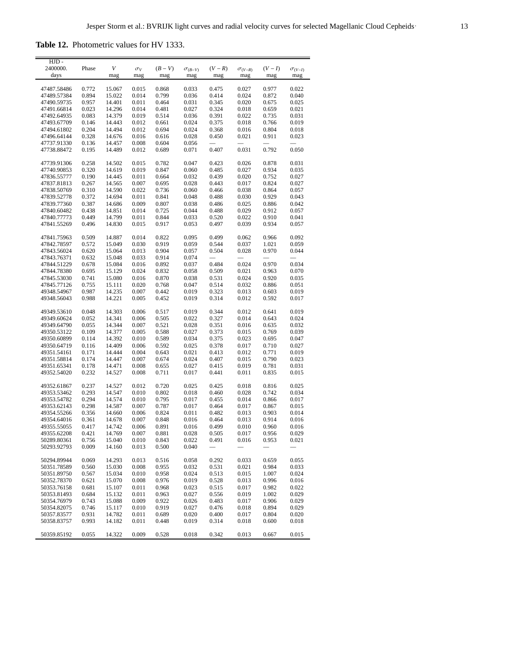**Table 12.** Photometric values for HV 1333.

| HJD-<br>2400000.           | Phase          | V                | $\sigma_V$     | $(B-V)$        | $\sigma_{(B-V)}$ | $(V - R)$                         | $\sigma_{(V-R)}$         | $(V-I)$        | $\sigma_{(V-I)}$         |
|----------------------------|----------------|------------------|----------------|----------------|------------------|-----------------------------------|--------------------------|----------------|--------------------------|
| days                       |                | mag              | mag            | mag            | mag              | mag                               | mag                      | mag            | mag                      |
|                            |                |                  |                |                |                  |                                   |                          |                |                          |
| 47487.58486                | 0.772          | 15.067           | 0.015          | 0.868<br>0.799 | 0.033            | 0.475                             | 0.027                    | 0.977          | 0.022                    |
| 47489.57384<br>47490.59735 | 0.894<br>0.957 | 15.022<br>14.401 | 0.014<br>0.011 | 0.464          | 0.036<br>0.031   | 0.414<br>0.345                    | 0.024<br>0.020           | 0.872<br>0.675 | 0.040<br>0.025           |
| 47491.66814                | 0.023          | 14.296           | 0.014          | 0.481          | 0.027            | 0.324                             | 0.018                    | 0.659          | 0.021                    |
| 47492.64935                | 0.083          | 14.379           | 0.019          | 0.514          | 0.036            | 0.391                             | 0.022                    | 0.735          | 0.031                    |
| 47493.67709                | 0.146          | 14.443           | 0.012          | 0.661          | 0.024            | 0.375                             | 0.018                    | 0.766          | 0.019                    |
| 47494.61802                | 0.204          | 14.494           | 0.012          | 0.694          | 0.024            | 0.368                             | 0.016                    | 0.804          | 0.018                    |
| 47496.64144                | 0.328          | 14.676           | 0.016          | 0.616          | 0.028            | 0.450                             | 0.021                    | 0.911          | 0.023                    |
| 47737.91330                | 0.136          | 14.457           | 0.008          | 0.604          | 0.056            |                                   | $\overline{\phantom{0}}$ |                | $\overline{\phantom{0}}$ |
| 47738.88472                | 0.195          | 14.489           | 0.012          | 0.689          | 0.071            | 0.407                             | 0.031                    | 0.792          | 0.050                    |
| 47739.91306                | 0.258          | 14.502           | 0.015          | 0.782          | 0.047            | 0.423                             | 0.026                    | 0.878          | 0.031                    |
| 47740.90853                | 0.320          | 14.619           | 0.019          | 0.847          | 0.060            | 0.485                             | 0.027                    | 0.934          | 0.035                    |
| 47836.55777                | 0.190          | 14.445           | 0.011          | 0.664          | 0.032            | 0.439                             | 0.020                    | 0.752          | 0.027                    |
| 47837.81813                | 0.267          | 14.565           | 0.007          | 0.695          | 0.028            | 0.443                             | 0.017                    | 0.824          | 0.027                    |
| 47838.50769                | 0.310          | 14.590           | 0.022          | 0.736          | 0.060            | 0.466                             | 0.038                    | 0.864          | 0.057                    |
| 47839.52778                | 0.372          | 14.694           | 0.011          | 0.841          | 0.048            | 0.488                             | 0.030                    | 0.929          | 0.043                    |
| 47839.77360                | 0.387          | 14.686           | 0.009          | 0.807          | 0.038            | 0.486                             | 0.025                    | 0.886          | 0.042                    |
| 47840.60482<br>47840.77773 | 0.438<br>0.449 | 14.851<br>14.799 | 0.014<br>0.011 | 0.725<br>0.844 | 0.044<br>0.033   | 0.488<br>0.520                    | 0.029<br>0.022           | 0.912<br>0.910 | 0.057<br>0.041           |
| 47841.55269                | 0.496          | 14.830           | 0.015          | 0.917          | 0.053            | 0.497                             | 0.039                    | 0.934          | 0.057                    |
|                            |                |                  |                |                |                  |                                   |                          |                |                          |
| 47841.75963                | 0.509          | 14.887           | 0.014          | 0.822          | 0.095            | 0.499                             | 0.062                    | 0.966          | 0.092                    |
| 47842.78597                | 0.572          | 15.049           | 0.030          | 0.919          | 0.059            | 0.544                             | 0.037                    | 1.021          | 0.059                    |
| 47843.56024<br>47843.76371 | 0.620<br>0.632 | 15.064<br>15.048 | 0.013<br>0.033 | 0.904<br>0.914 | 0.057<br>0.074   | 0.504                             | 0.028                    | 0.970          | 0.044                    |
| 47844.51229                | 0.678          | 15.084           | 0.016          | 0.892          | 0.037            | 0.484                             | 0.024                    | 0.970          | 0.034                    |
| 47844.78380                | 0.695          | 15.129           | 0.024          | 0.832          | 0.058            | 0.509                             | 0.021                    | 0.963          | 0.070                    |
| 47845.53030                | 0.741          | 15.080           | 0.016          | 0.870          | 0.038            | 0.531                             | 0.024                    | 0.920          | 0.035                    |
| 47845.77126                | 0.755          | 15.111           | 0.020          | 0.768          | 0.047            | 0.514                             | 0.032                    | 0.886          | 0.051                    |
| 49348.54967                | 0.987          | 14.235           | 0.007          | 0.442          | 0.019            | 0.323                             | 0.013                    | 0.603          | 0.019                    |
| 49348.56043                | 0.988          | 14.221           | 0.005          | 0.452          | 0.019            | 0.314                             | 0.012                    | 0.592          | 0.017                    |
| 49349.53610                | 0.048          | 14.303           | 0.006          | 0.517          | 0.019            | 0.344                             | 0.012                    | 0.641          | 0.019                    |
| 49349.60624                | 0.052          | 14.341           | 0.006          | 0.505          | 0.022            | 0.327                             | 0.014                    | 0.643          | 0.024                    |
| 49349.64790                | 0.055          | 14.344           | 0.007          | 0.521          | 0.028            | 0.351                             | 0.016                    | 0.635          | 0.032                    |
| 49350.53122                | 0.109          | 14.377           | 0.005          | 0.588          | 0.027            | 0.373                             | 0.015                    | 0.769          | 0.039                    |
| 49350.60899                | 0.114          | 14.392           | 0.010          | 0.589          | 0.034            | 0.375                             | 0.023                    | 0.695          | 0.047                    |
| 49350.64719                | 0.116          | 14.409           | 0.006          | 0.592          | 0.025            | 0.378                             | 0.017                    | 0.710          | 0.027                    |
| 49351.54161<br>49351.58814 | 0.171<br>0.174 | 14.444<br>14.447 | 0.004<br>0.007 | 0.643<br>0.674 | 0.021<br>0.024   | 0.413<br>0.407                    | 0.012<br>0.015           | 0.771<br>0.790 | 0.019<br>0.023           |
| 49351.65341                | 0.178          | 14.471           | 0.008          | 0.655          | 0.027            | 0.415                             | 0.019                    | 0.781          | 0.031                    |
| 49352.54020                | 0.232          | 14.527           | 0.008          | 0.711          | 0.017            | 0.441                             | 0.011                    | 0.835          | 0.015                    |
| 49352.61867                | 0.237          | 14.527           | 0.012          | 0.720          | 0.025            | 0.425                             | 0.018                    | 0.816          | 0.025                    |
| 49353.53462                | 0.293          | 14.547           | 0.010          | 0.802          | 0.018            | 0.460                             | 0.028                    | 0.742          | 0.034                    |
| 49353.54782                | 0.294          | 14.574           | 0.010          | 0.795          | 0.017            | 0.455                             | 0.014                    | 0.866          | 0.017                    |
| 49353.62143                | 0.298          | 14.587           | 0.007          | 0.787          | 0.017            | 0.464                             | 0.017                    | 0.867          | 0.015                    |
| 49354.55266                | 0.356          | 14.660           | 0.006          | 0.824          | 0.011            | 0.482                             | 0.013                    | 0.903          | 0.014                    |
| 49354.64016                | 0.361          | 14.678           | 0.007          | 0.848          | 0.016            | 0.464                             | 0.013                    | 0.914          | 0.016                    |
| 49355.55055                | 0.417          | 14.742           | 0.006          | 0.891          | 0.016            | 0.499                             | 0.010                    | 0.960          | 0.016                    |
| 49355.62208                | 0.421          | 14.769           | 0.007<br>0.010 | 0.881          | 0.028            | 0.505                             | 0.017                    | 0.956          | 0.029                    |
| 50289.80361                | 0.756          | 15.040           | 0.013          | 0.843<br>0.500 | 0.022<br>0.040   | 0.491<br>$\overline{\phantom{0}}$ | 0.016                    | 0.953          | 0.021                    |
| 50293.92793                | 0.009          | 14.160           |                |                |                  |                                   |                          |                |                          |
| 50294.89944                | 0.069          | 14.293           | 0.013          | 0.516          | 0.058            | 0.292                             | 0.033                    | 0.659          | 0.055                    |
| 50351.78589                | 0.560          | 15.030           | 0.008          | 0.955          | 0.032            | 0.531                             | 0.021                    | 0.984          | 0.033                    |
| 50351.89750                | 0.567          | 15.034           | 0.010          | 0.958          | 0.024            | 0.513                             | 0.015                    | 1.007          | 0.024                    |
| 50352.78370<br>50353.76158 | 0.621<br>0.681 | 15.070           | 0.008<br>0.011 | 0.976<br>0.968 | 0.019            | 0.528<br>0.515                    | 0.013<br>0.017           | 0.996<br>0.982 | 0.016<br>0.022           |
| 50353.81493                | 0.684          | 15.107<br>15.132 | 0.011          | 0.963          | 0.023<br>0.027   | 0.556                             | 0.019                    | 1.002          | 0.029                    |
| 50354.76979                | 0.743          | 15.088           | 0.009          | 0.922          | 0.026            | 0.483                             | 0.017                    | 0.906          | 0.029                    |
| 50354.82075                | 0.746          | 15.117           | 0.010          | 0.919          | 0.027            | 0.476                             | 0.018                    | 0.894          | 0.029                    |
| 50357.83577                | 0.931          | 14.782           | 0.011          | 0.689          | 0.020            | 0.400                             | 0.017                    | 0.804          | 0.020                    |
| 50358.83757                | 0.993          | 14.182           | 0.011          | 0.448          | 0.019            | 0.314                             | 0.018                    | 0.600          | 0.018                    |
| 50359.85192                | 0.055          | 14.322           | 0.009          | 0.528          | 0.018            | 0.342                             | 0.013                    | 0.667          | 0.015                    |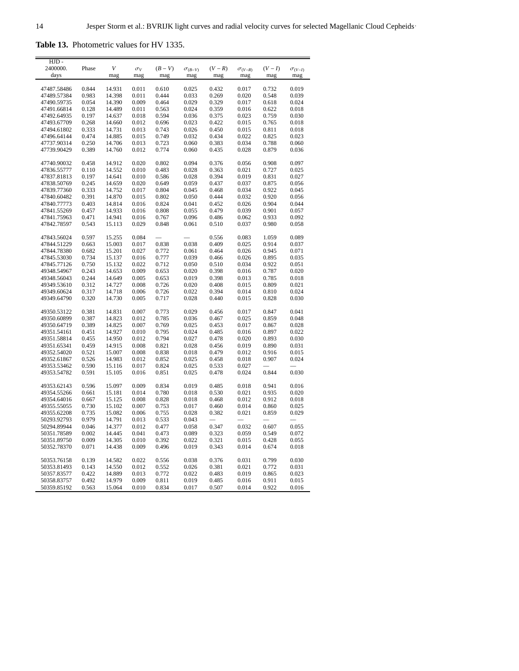**Table 13.** Photometric values for HV 1335.

| HJD.                       |                |                  |                |                |                  |                |                  |                |                  |
|----------------------------|----------------|------------------|----------------|----------------|------------------|----------------|------------------|----------------|------------------|
| 2400000.                   | Phase          | V                | $\sigma_V$     | $(B-V)$        | $\sigma_{(B-V)}$ | $(V-R)$        | $\sigma_{(V-R)}$ | $(V-I)$        | $\sigma_{(V-I)}$ |
| days                       |                | mag              | mag            | mag            | mag              | mag            | mag              | mag            | mag              |
| 47487.58486                | 0.844          | 14.931           | 0.011          | 0.610          | 0.025            | 0.432          | 0.017            | 0.732          | 0.019            |
| 47489.57384                | 0.983          | 14.398           | 0.011          | 0.444          | 0.033            | 0.269          | 0.020            | 0.548          | 0.039            |
| 47490.59735                | 0.054          | 14.390           | 0.009          | 0.464          | 0.029            | 0.329          | 0.017            | 0.618          | 0.024            |
| 47491.66814                | 0.128          | 14.489           | 0.011          | 0.563          | 0.024            | 0.359          | 0.016            | 0.622          | 0.018            |
| 47492.64935                | 0.197          | 14.637           | 0.018          | 0.594          | 0.036            | 0.375          | 0.023            | 0.759          | 0.030            |
| 47493.67709                | 0.268          | 14.660           | 0.012          | 0.696          | 0.023            | 0.422          | 0.015            | 0.765          | 0.018            |
| 47494.61802                | 0.333          | 14.731           | 0.013          | 0.743          | 0.026            | 0.450          | 0.015            | 0.811          | 0.018            |
| 47496.64144                | 0.474          | 14.885           | 0.015          | 0.749          | 0.032            | 0.434          | 0.022            | 0.825          | 0.023            |
| 47737.90314                | 0.250          | 14.706           | 0.013          | 0.723          | 0.060            | 0.383          | 0.034            | 0.788          | 0.060            |
| 47739.90429                | 0.389          | 14.760           | 0.012          | 0.774          | 0.060            | 0.435          | 0.028            | 0.879          | 0.036            |
| 47740.90032                | 0.458          | 14.912           | 0.020          | 0.802          | 0.094            | 0.376          | 0.056            | 0.908          | 0.097            |
| 47836.55777                | 0.110          | 14.552           | 0.010          | 0.483          | 0.028            | 0.363          | 0.021            | 0.727          | 0.025            |
| 47837.81813                | 0.197          | 14.641           | 0.010          | 0.586          | 0.028            | 0.394          | 0.019            | 0.831          | 0.027            |
| 47838.50769                | 0.245          | 14.659           | 0.020          | 0.649          | 0.059            | 0.437          | 0.037            | 0.875          |                  |
| 47839.77360                | 0.333          | 14.752           | 0.017          | 0.804          | 0.045            | 0.468          | 0.034            | 0.922          | 0.056<br>0.045   |
|                            | 0.391          | 14.870           | 0.015          | 0.802          | 0.050            | 0.444          | 0.032            | 0.920          | 0.056            |
| 47840.60482                | 0.403          | 14.814           | 0.016          | 0.824          | 0.041            | 0.452          |                  | 0.904          | 0.044            |
| 47840.77773<br>47841.55269 | 0.457          | 14.933           | 0.016          | 0.808          | 0.055            | 0.479          | 0.026<br>0.039   | 0.901          | 0.057            |
| 47841.75963                | 0.471          | 14.941           | 0.016          | 0.767          | 0.096            | 0.486          | 0.062            | 0.933          | 0.092            |
| 47842.78597                | 0.543          | 15.113           | 0.029          | 0.848          | 0.061            | 0.510          | 0.037            | 0.980          | 0.058            |
|                            |                |                  |                |                |                  |                |                  |                |                  |
| 47843.56024                | 0.597          | 15.255           | 0.084          |                |                  | 0.556          | 0.083            | 1.059          | 0.089            |
| 47844.51229                | 0.663          | 15.003           | 0.017          | 0.838          | 0.038            | 0.409          | 0.025            | 0.914          | 0.037            |
| 47844.78380                | 0.682          | 15.201           | 0.027          | 0.772          | 0.061            | 0.464          | 0.026            | 0.945          | 0.071            |
| 47845.53030                | 0.734          | 15.137           | 0.016          | 0.777          | 0.039            | 0.466          | 0.026            | 0.895          | 0.035            |
| 47845.77126                | 0.750          | 15.132           | 0.022          | 0.712          | 0.050            | 0.510          | 0.034            | 0.922          | 0.051            |
| 49348.54967                | 0.243          | 14.653           | 0.009          | 0.653          | 0.020            | 0.398          | 0.016            | 0.787          | 0.020            |
| 49348.56043                | 0.244          | 14.649           | 0.005          | 0.653          | 0.019            | 0.398          | 0.013            | 0.785          | 0.018            |
| 49349.53610                | 0.312          | 14.727           | 0.008          | 0.726          | 0.020            | 0.408          | 0.015            | 0.809          | 0.021            |
| 49349.60624                | 0.317          | 14.718           | 0.006          | 0.726          | 0.022            | 0.394          | 0.014            | 0.810          | 0.024            |
| 49349.64790                | 0.320          | 14.730           | 0.005          | 0.717          | 0.028            | 0.440          | 0.015            | 0.828          | 0.030            |
| 49350.53122                | 0.381          | 14.831           | 0.007          | 0.773          | 0.029            | 0.456          | 0.017            | 0.847          | 0.041            |
| 49350.60899                | 0.387          | 14.823           | 0.012          | 0.785          | 0.036            | 0.467          | 0.025            | 0.859          | 0.048            |
| 49350.64719                | 0.389          | 14.825           | 0.007          | 0.769          | 0.025            | 0.453          | 0.017            | 0.867          | 0.028            |
| 49351.54161                | 0.451          | 14.927           | 0.010          | 0.795          | 0.024            | 0.485          | 0.016            | 0.897          | 0.022            |
| 49351.58814                | 0.455          | 14.950           | 0.012          | 0.794          | 0.027            | 0.478          | 0.020            | 0.893          | 0.030            |
| 49351.65341                | 0.459          | 14.915           | 0.008          | 0.821          | 0.028            | 0.456          | 0.019            | 0.890          | 0.031            |
| 49352.54020                | 0.521          | 15.007           | 0.008          | 0.838          | 0.018            | 0.479          | 0.012            | 0.916          | 0.015            |
| 49352.61867                | 0.526          | 14.983           | 0.012          | 0.852          | 0.025            | 0.458          | 0.018            | 0.907          | 0.024            |
| 49353.53462                | 0.590          | 15.116           | 0.017          | 0.824          | 0.025            | 0.533          | 0.027            |                |                  |
| 49353.54782                | 0.591          | 15.105           | 0.016          | 0.851          | 0.025            | 0.478          | 0.024            | 0.844          | 0.030            |
| 49353.62143                | 0.596          | 15.097           | 0.009          | 0.834          | 0.019            | 0.485          | 0.018            | 0.941          | 0.016            |
| 49354.55266                | 0.661          | 15.181           | 0.014          | 0.780          | 0.018            | 0.530          | 0.021            | 0.935          | 0.020            |
| 49354.64016                | 0.667          | 15.125           | 0.008          | 0.828          | 0.018            | 0.468          | 0.012            | 0.912          | 0.018            |
| 49355.55055                | 0.730          | 15.102           | 0.007          | 0.753          | 0.017            | 0.460          | 0.014            | 0.860          | 0.025            |
| 49355.62208                | 0.735          | 15.082           | 0.006          | 0.755          | 0.028            | 0.382          | 0.021            | 0.859          | 0.029            |
| 50293.92793                | 0.979          | 14.791           | 0.013          | 0.533          | 0.043            |                |                  |                |                  |
| 50294.89944                | 0.046          | 14.377           | 0.012          | 0.477          | 0.058            | 0.347          | 0.032            | 0.607          | 0.055            |
| 50351.78589                | 0.002          | 14.445           | 0.041          | 0.473          | 0.089            | 0.323          | 0.059            | 0.549          | 0.072            |
| 50351.89750                | 0.009          | 14.305           | 0.010          | 0.392          | 0.022            | 0.321          | 0.015            | 0.428          | 0.055            |
| 50352.78370                | 0.071          | 14.438           | 0.009          | 0.496          | 0.019            | 0.343          | 0.014            | 0.674          | 0.018            |
|                            | 0.139          |                  |                |                |                  |                |                  |                |                  |
| 50353.76158                |                | 14.582           | 0.022          | 0.556          | 0.038            | 0.376          | 0.031            | 0.799          | 0.030            |
| 50353.81493<br>50357.83577 | 0.143          | 14.550           | 0.012<br>0.013 | 0.552          | 0.026            | 0.381          | 0.021            | 0.772          | 0.031            |
|                            | 0.422<br>0.492 | 14.889<br>14.979 | 0.009          | 0.772          | 0.022<br>0.019   | 0.483<br>0.485 | 0.019            | 0.865<br>0.911 | 0.023<br>0.015   |
| 50358.83757<br>50359.85192 | 0.563          | 15.064           | 0.010          | 0.811<br>0.834 | 0.017            | 0.507          | 0.016<br>0.014   | 0.922          | 0.016            |
|                            |                |                  |                |                |                  |                |                  |                |                  |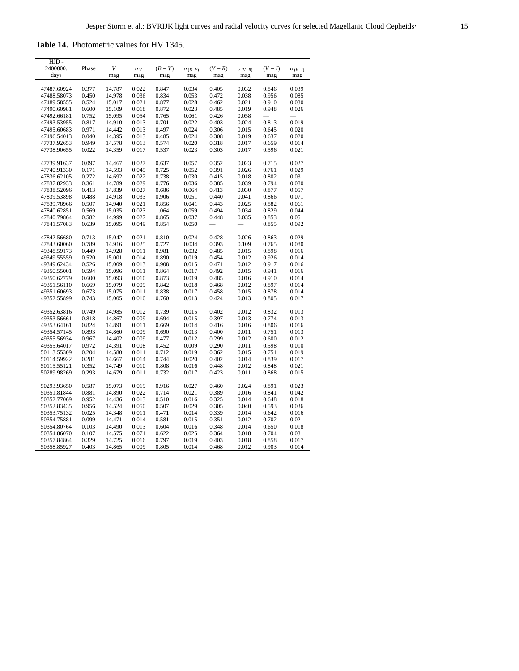<span id="page-14-0"></span>**Table 14.** Photometric values for HV 1345.

| HJD-        |       |        |            |         |                  |         |                  |         |                  |
|-------------|-------|--------|------------|---------|------------------|---------|------------------|---------|------------------|
| 2400000.    | Phase | V      | $\sigma_V$ | $(B-V)$ | $\sigma_{(B-V)}$ | $(V-R)$ | $\sigma_{(V-R)}$ | $(V-I)$ | $\sigma_{(V-I)}$ |
| days        |       | mag    | mag        | mag     | mag              | mag     | mag              | mag     | mag              |
|             |       |        |            | 0.847   |                  |         |                  |         |                  |
| 47487.60924 | 0.377 | 14.787 | 0.022      |         | 0.034            | 0.405   | 0.032            | 0.846   | 0.039            |
| 47488.58073 | 0.450 | 14.978 | 0.036      | 0.834   | 0.053            | 0.472   | 0.038            | 0.956   | 0.085            |
| 47489.58555 | 0.524 | 15.017 | 0.021      | 0.877   | 0.028            | 0.462   | 0.021            | 0.910   | 0.030            |
| 47490.60981 | 0.600 | 15.109 | 0.018      | 0.872   | 0.023            | 0.485   | 0.019            | 0.948   | 0.026            |
| 47492.66181 | 0.752 | 15.095 | 0.054      | 0.765   | 0.061            | 0.426   | 0.058            |         |                  |
| 47493.53955 | 0.817 | 14.910 | 0.013      | 0.701   | 0.022            | 0.403   | 0.024            | 0.813   | 0.019            |
| 47495.60683 | 0.971 | 14.442 | 0.013      | 0.497   | 0.024            | 0.306   | 0.015            | 0.645   | 0.020            |
| 47496.54013 | 0.040 | 14.395 | 0.013      | 0.485   | 0.024            | 0.308   | 0.019            | 0.637   | 0.020            |
| 47737.92653 | 0.949 | 14.578 | 0.013      | 0.574   | 0.020            | 0.318   | 0.017            | 0.659   | 0.014            |
| 47738.90655 | 0.022 | 14.359 | 0.017      | 0.537   | 0.023            | 0.303   | 0.017            | 0.596   | 0.021            |
| 47739.91637 | 0.097 | 14.467 | 0.027      | 0.637   | 0.057            | 0.352   | 0.023            | 0.715   | 0.027            |
|             |       | 14.593 | 0.045      |         |                  | 0.391   | 0.026            | 0.761   |                  |
| 47740.91330 | 0.171 |        |            | 0.725   | 0.052            |         |                  |         | 0.029            |
| 47836.62105 | 0.272 | 14.692 | 0.022      | 0.738   | 0.030            | 0.415   | 0.018            | 0.802   | 0.031            |
| 47837.82933 | 0.361 | 14.789 | 0.029      | 0.776   | 0.036            | 0.385   | 0.039            | 0.794   | 0.080            |
| 47838.52096 | 0.413 | 14.839 | 0.027      | 0.686   | 0.064            | 0.413   | 0.030            | 0.877   | 0.057            |
| 47839.53898 | 0.488 | 14.918 | 0.033      | 0.906   | 0.051            | 0.440   | 0.041            | 0.866   | 0.071            |
| 47839.78966 | 0.507 | 14.940 | 0.021      | 0.856   | 0.041            | 0.443   | 0.025            | 0.882   | 0.061            |
| 47840.62851 | 0.569 | 15.035 | 0.023      | 1.064   | 0.059            | 0.494   | 0.034            | 0.829   | 0.044            |
| 47840.79864 | 0.582 | 14.999 | 0.027      | 0.865   | 0.037            | 0.448   | 0.035            | 0.853   | 0.051            |
| 47841.57083 | 0.639 | 15.095 | 0.049      | 0.854   | 0.050            |         |                  | 0.855   | 0.092            |
| 47842.56680 | 0.713 | 15.042 | 0.021      | 0.810   | 0.024            | 0.428   | 0.026            | 0.863   | 0.029            |
| 47843.60060 | 0.789 | 14.916 | 0.025      | 0.727   | 0.034            | 0.393   | 0.109            | 0.765   | 0.080            |
| 49348.59173 | 0.449 | 14.928 | 0.011      | 0.981   | 0.032            | 0.485   | 0.015            | 0.898   | 0.016            |
| 49349.55559 | 0.520 | 15.001 | 0.014      | 0.890   | 0.019            | 0.454   | 0.012            | 0.926   | 0.014            |
| 49349.62434 | 0.526 | 15.009 | 0.013      | 0.908   | 0.015            | 0.471   | 0.012            | 0.917   | 0.016            |
| 49350.55001 | 0.594 | 15.096 | 0.011      | 0.864   | 0.017            | 0.492   | 0.015            | 0.941   | 0.016            |
| 49350.62779 | 0.600 | 15.093 | 0.010      | 0.873   | 0.019            | 0.485   | 0.016            | 0.910   | 0.014            |
|             |       | 15.079 | 0.009      | 0.842   | 0.018            | 0.468   | 0.012            | 0.897   | 0.014            |
| 49351.56110 | 0.669 |        |            |         |                  |         |                  |         |                  |
| 49351.60693 | 0.673 | 15.075 | 0.011      | 0.838   | 0.017            | 0.458   | 0.015            | 0.878   | 0.014            |
| 49352.55899 | 0.743 | 15.005 | 0.010      | 0.760   | 0.013            | 0.424   | 0.013            | 0.805   | 0.017            |
| 49352.63816 | 0.749 | 14.985 | 0.012      | 0.739   | 0.015            | 0.402   | 0.012            | 0.832   | 0.013            |
| 49353.56661 | 0.818 | 14.867 | 0.009      | 0.694   | 0.015            | 0.397   | 0.013            | 0.774   | 0.013            |
| 49353.64161 | 0.824 | 14.891 | 0.011      | 0.669   | 0.014            | 0.416   | 0.016            | 0.806   | 0.016            |
| 49354.57145 | 0.893 | 14.860 | 0.009      | 0.690   | 0.013            | 0.400   | 0.011            | 0.751   | 0.013            |
| 49355.56934 | 0.967 | 14.402 | 0.009      | 0.477   | 0.012            | 0.299   | 0.012            | 0.600   | 0.012            |
| 49355.64017 | 0.972 | 14.391 | 0.008      | 0.452   | 0.009            | 0.290   | 0.011            | 0.598   | 0.010            |
| 50113.55309 | 0.204 | 14.580 | 0.011      | 0.712   | 0.019            | 0.362   | 0.015            | 0.751   | 0.019            |
| 50114.59922 | 0.281 | 14.667 | 0.014      | 0.744   | 0.020            | 0.402   | 0.014            | 0.839   | 0.017            |
| 50115.55121 | 0.352 | 14.749 | 0.010      | 0.808   | 0.016            | 0.448   | 0.012            | 0.848   | 0.021            |
| 50289.98269 | 0.293 | 14.679 | 0.011      | 0.732   | 0.017            | 0.423   | 0.011            | 0.868   | 0.015            |
|             |       |        |            |         |                  |         |                  |         |                  |
| 50293.93650 | 0.587 | 15.073 | 0.019      | 0.916   | 0.027            | 0.460   | 0.024            | 0.891   | 0.023            |
| 50351.81844 | 0.881 | 14.890 | 0.022      | 0.714   | 0.021            | 0.389   | 0.016            | 0.841   | 0.042            |
| 50352.77069 | 0.952 | 14.436 | 0.013      | 0.510   | 0.016            | 0.325   | 0.014            | 0.648   | 0.018            |
| 50352.83435 | 0.956 | 14.524 | 0.050      | 0.507   | 0.029            | 0.305   | 0.040            | 0.593   | 0.036            |
| 50353.75132 | 0.025 | 14.348 | 0.011      | 0.471   | 0.014            | 0.339   | 0.014            | 0.642   | 0.016            |
| 50354.75881 | 0.099 | 14.471 | 0.014      | 0.581   | 0.015            | 0.351   | 0.012            | 0.702   | 0.021            |
| 50354.80764 | 0.103 | 14.490 | 0.013      | 0.604   | 0.016            | 0.348   | 0.014            | 0.650   | 0.018            |
| 50354.86070 | 0.107 | 14.575 | 0.071      | 0.622   | 0.025            | 0.364   | 0.018            | 0.704   | 0.031            |
| 50357.84864 | 0.329 | 14.725 | 0.016      | 0.797   | 0.019            | 0.403   | 0.018            | 0.858   | 0.017            |
| 50358.85927 | 0.403 | 14.865 | 0.009      | 0.805   | 0.014            | 0.468   | 0.012            | 0.903   | 0.014            |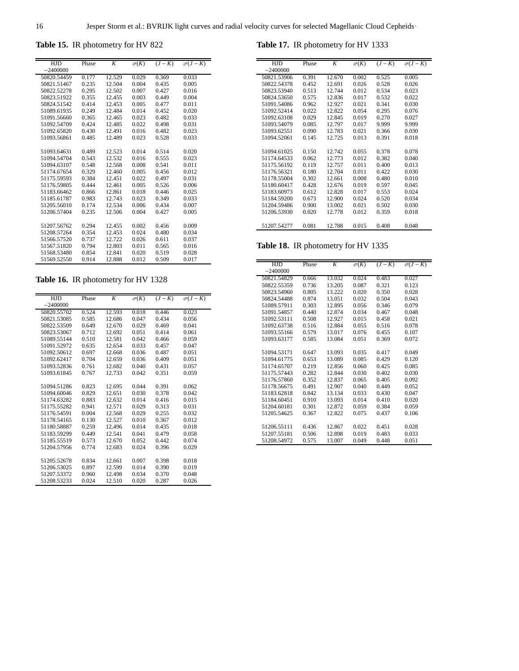<span id="page-15-0"></span>**Table 15.** IR photometry for HV 822

| <b>HJD</b>  | Phase | K      | $\sigma(K)$ | $(J-K)$ | $\sigma(J-K)$ |
|-------------|-------|--------|-------------|---------|---------------|
| $-2400000$  |       |        |             |         |               |
| 50820.54459 | 0.177 | 12.529 | 0.029       | 0.369   | 0.033         |
| 50821.51467 | 0.235 | 12.504 | 0.004       | 0.435   | 0.005         |
| 50822.52278 | 0.295 | 12.502 | 0.007       | 0.427   | 0.016         |
| 50823.51922 | 0.355 | 12.455 | 0.003       | 0.449   | 0.004         |
| 50824.51542 | 0.414 | 12.453 | 0.005       | 0.477   | 0.011         |
| 51089.61935 | 0.249 | 12.484 | 0.014       | 0.452   | 0.020         |
| 51091.56660 | 0.365 | 12.465 | 0.023       | 0.482   | 0.033         |
| 51092.54709 | 0.424 | 12.485 | 0.022       | 0.498   | 0.031         |
| 51092.65820 | 0.430 | 12.491 | 0.016       | 0.482   | 0.023         |
| 51093.56861 | 0.485 | 12.489 | 0.023       | 0.528   | 0.033         |
|             |       |        |             |         |               |
| 51093.64631 | 0.489 | 12.523 | 0.014       | 0.514   | 0.020         |
| 51094.54704 | 0.543 | 12.532 | 0.016       | 0.555   | 0.023         |
| 51094.63107 | 0.548 | 12.568 | 0.008       | 0.541   | 0.011         |
| 51174.67654 | 0.329 | 12.460 | 0.005       | 0.456   | 0.012         |
| 51175.59593 | 0.384 | 12.451 | 0.022       | 0.497   | 0.031         |
| 51176.59805 | 0.444 | 12.461 | 0.005       | 0.526   | 0.006         |
| 51183.66462 | 0.866 | 12.861 | 0.018       | 0.446   | 0.025         |
| 51185.61787 | 0.983 | 12.743 | 0.023       | 0.349   | 0.033         |
| 51205.56010 | 0.174 | 12.534 | 0.006       | 0.434   | 0.007         |
| 51206.57404 | 0.235 | 12.506 | 0.004       | 0.427   | 0.005         |
|             |       |        |             |         |               |
| 51207.56762 | 0.294 | 12.455 | 0.002       | 0.456   | 0.009         |
| 51208.57264 | 0.354 | 12.453 | 0.024       | 0.480   | 0.034         |
| 51566.57520 | 0.737 | 12.722 | 0.026       | 0.611   | 0.037         |
| 51567.51820 | 0.794 | 12.803 | 0.011       | 0.565   | 0.016         |
| 51568.53480 | 0.854 | 12.841 | 0.020       | 0.519   | 0.028         |
| 51569.52550 | 0.914 | 12.888 | 0.012       | 0.509   | 0.017         |
|             |       |        |             |         |               |

## **Table 16.** IR photometry for HV 1328

| <b>HJD</b>  | Phase | K      | $\sigma(K)$ | $(J-K)$ | $\sigma(J-K)$ |
|-------------|-------|--------|-------------|---------|---------------|
| $-2400000$  |       |        |             |         |               |
| 50820.55702 | 0.524 | 12.593 | 0.018       | 0.446   | 0.023         |
| 50821.53085 | 0.585 | 12.686 | 0.047       | 0.434   | 0.056         |
| 50822.53509 | 0.649 | 12.670 | 0.029       | 0.469   | 0.041         |
| 50823.53067 | 0.712 | 12.692 | 0.051       | 0.414   | 0.061         |
| 51089.55144 | 0.510 | 12.581 | 0.042       | 0.466   | 0.059         |
| 51091.52972 | 0.635 | 12.654 | 0.033       | 0.457   | 0.047         |
| 51092.50612 | 0.697 | 12.668 | 0.036       | 0.487   | 0.051         |
| 51092.62417 | 0.704 | 12.659 | 0.036       | 0.409   | 0.051         |
| 51093.52836 | 0.761 | 12.682 | 0.040       | 0.431   | 0.057         |
| 51093.61845 | 0.767 | 12.733 | 0.042       | 0.351   | 0.059         |
|             |       |        |             |         |               |
| 51094.51286 | 0.823 | 12.695 | 0.044       | 0.391   | 0.062         |
| 51094.60046 | 0.829 | 12.651 | 0.030       | 0.378   | 0.042         |
| 51174.63282 | 0.883 | 12.632 | 0.014       | 0.416   | 0.015         |
| 51175.55282 | 0.941 | 12.571 | 0.029       | 0.313   | 0.031         |
| 51176.54591 | 0.004 | 12.568 | 0.029       | 0.255   | 0.032         |
| 51178.54165 | 0.130 | 12.527 | 0.010       | 0.367   | 0.012         |
| 51180.58887 | 0.259 | 12.496 | 0.014       | 0.435   | 0.018         |
| 51183.59299 | 0.449 | 12.541 | 0.041       | 0.479   | 0.058         |
| 51185.55519 | 0.573 | 12.670 | 0.052       | 0.442   | 0.074         |
| 51204.57956 | 0.774 | 12.683 | 0.024       | 0.396   | 0.029         |
|             |       |        |             |         |               |
| 51205.52678 | 0.834 | 12.661 | 0.007       | 0.398   | 0.018         |
| 51206.53025 | 0.897 | 12.599 | 0.014       | 0.390   | 0.019         |
| 51207.53372 | 0.960 | 12.498 | 0.034       | 0.370   | 0.048         |
| 51208.53233 | 0.024 | 12.510 | 0.020       | 0.287   | 0.026         |

**Table 17.** IR photometry for HV 1333

| <b>HJD</b>  | Phase | K      | $\sigma(K)$ | $(J-K)$ | $\sigma(J-K)$ |
|-------------|-------|--------|-------------|---------|---------------|
| $-2400000$  |       |        |             |         |               |
| 50821.53906 | 0.391 | 12.670 | 0.002       | 0.525   | 0.005         |
| 50822.54378 | 0.452 | 12.691 | 0.026       | 0.528   | 0.026         |
| 50823.53940 | 0.513 | 12.744 | 0.012       | 0.534   | 0.023         |
| 50824.53650 | 0.575 | 12.836 | 0.017       | 0.532   | 0.022         |
| 51091.54086 | 0.962 | 12.927 | 0.021       | 0.341   | 0.030         |
| 51092.52414 | 0.022 | 12.822 | 0.054       | 0.295   | 0.076         |
| 51092.63108 | 0.029 | 12.845 | 0.019       | 0.270   | 0.027         |
| 51093.54079 | 0.085 | 12.797 | 0.017       | 9.999   | 9.999         |
| 51093.62551 | 0.090 | 12.783 | 0.021       | 0.366   | 0.030         |
| 51094.52061 | 0.145 | 12.725 | 0.013       | 0.391   | 0.018         |
|             |       |        |             |         |               |
| 51094.61025 | 0.150 | 12.742 | 0.055       | 0.378   | 0.078         |
| 51174.64533 | 0.062 | 12.773 | 0.012       | 0.382   | 0.040         |
| 51175.56192 | 0.119 | 12.757 | 0.011       | 0.400   | 0.013         |
| 51176.56321 | 0.180 | 12.704 | 0.011       | 0.422   | 0.030         |
| 51178.55004 | 0.302 | 12.661 | 0.008       | 0.480   | 0.010         |
| 51180.60417 | 0.428 | 12.676 | 0.019       | 0.597   | 0.045         |
| 51183.60973 | 0.612 | 12.828 | 0.017       | 0.553   | 0.024         |
| 51184.59200 | 0.673 | 12.900 | 0.024       | 0.520   | 0.034         |
| 51204.59486 | 0.900 | 13.002 | 0.021       | 0.502   | 0.030         |
| 51206.53930 | 0.020 | 12.778 | 0.012       | 0.359   | 0.018         |
|             |       |        |             |         |               |
| 51207.54277 | 0.081 | 12.788 | 0.015       | 0.408   | 0.048         |

**Table 18.** IR photometry for HV 1335

| <b>HJD</b>  | Phase | K      | $\sigma(K)$ | $(J-K)$ | $\sigma(J-K)$ |
|-------------|-------|--------|-------------|---------|---------------|
| $-2400000$  |       |        |             |         |               |
| 50821.54829 | 0.666 | 13.032 | 0.024       | 0.483   | 0.027         |
| 50822.55359 | 0.736 | 13.205 | 0.087       | 0.321   | 0.123         |
| 50823.54960 | 0.805 | 13.222 | 0.020       | 0.350   | 0.028         |
| 50824.54488 | 0.874 | 13.051 | 0.032       | 0.504   | 0.043         |
| 51089.57911 | 0.303 | 12.895 | 0.056       | 0.346   | 0.079         |
| 51091.54857 | 0.440 | 12.874 | 0.034       | 0.467   | 0.048         |
| 51092.53111 | 0.508 | 12.927 | 0.015       | 0.458   | 0.021         |
| 51092.63738 | 0.516 | 12.884 | 0.055       | 0.516   | 0.078         |
| 51093.55166 | 0.579 | 13.017 | 0.076       | 0.455   | 0.107         |
| 51093.63177 | 0.585 | 13.084 | 0.051       | 0.369   | 0.072         |
|             |       |        |             |         |               |
| 51094.53171 | 0.647 | 13.093 | 0.035       | 0.417   | 0.049         |
| 51094.61775 | 0.653 | 13.089 | 0.085       | 0.429   | 0.120         |
| 51174.65707 | 0.219 | 12.856 | 0.060       | 0.425   | 0.085         |
| 51175.57443 | 0.282 | 12.844 | 0.030       | 0.402   | 0.030         |
| 51176.57860 | 0.352 | 12.837 | 0.065       | 0.405   | 0.092         |
| 51178.56675 | 0.491 | 12.907 | 0.040       | 0.449   | 0.052         |
| 51183.62818 | 0.842 | 13.134 | 0.033       | 0.430   | 0.047         |
| 51184.60451 | 0.910 | 13.093 | 0.014       | 0.410   | 0.020         |
| 51204.60181 | 0.301 | 12.872 | 0.059       | 0.384   | 0.059         |
| 51205.54625 | 0.367 | 12.822 | 0.075       | 0.437   | 0.106         |
|             |       |        |             |         |               |
| 51206.55111 | 0.436 | 12.867 | 0.022       | 0.451   | 0.028         |
| 51207.55181 | 0.506 | 12.898 | 0.019       | 0.483   | 0.033         |
| 51208.54972 | 0.575 | 13.007 | 0.049       | 0.448   | 0.051         |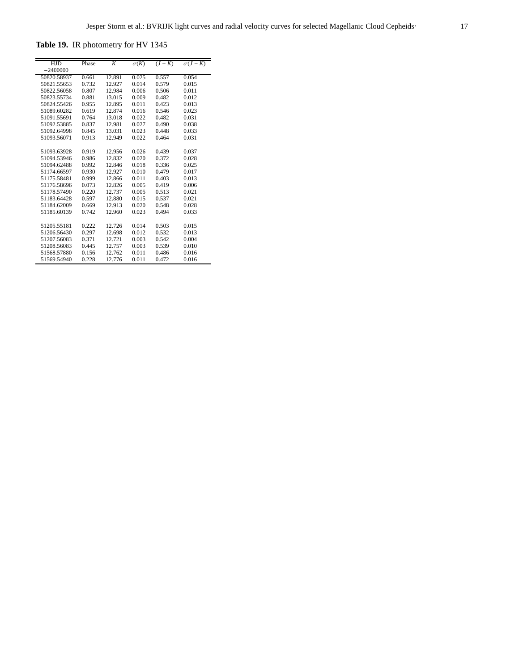<span id="page-16-0"></span>**Table 19.** IR photometry for HV 1345

| <b>HJD</b>  | Phase | K      | $\sigma(K)$ | $(J-K)$ | $\sigma(J-K)$ |
|-------------|-------|--------|-------------|---------|---------------|
| $-2400000$  |       |        |             |         |               |
| 50820.58937 | 0.661 | 12.891 | 0.025       | 0.557   | 0.054         |
| 50821.55653 | 0.732 | 12.927 | 0.014       | 0.579   | 0.015         |
| 50822.56058 | 0.807 | 12.984 | 0.006       | 0.506   | 0.011         |
| 50823.55734 | 0.881 | 13.015 | 0.009       | 0.482   | 0.012         |
| 50824.55426 | 0.955 | 12.895 | 0.011       | 0.423   | 0.013         |
| 51089.60282 | 0.619 | 12.874 | 0.016       | 0.546   | 0.023         |
| 51091.55691 | 0.764 | 13.018 | 0.022       | 0.482   | 0.031         |
| 51092.53885 | 0.837 | 12.981 | 0.027       | 0.490   | 0.038         |
| 51092.64998 | 0.845 | 13.031 | 0.023       | 0.448   | 0.033         |
| 51093.56071 | 0.913 | 12.949 | 0.022       | 0.464   | 0.031         |
|             |       |        |             |         |               |
| 51093.63928 | 0.919 | 12.956 | 0.026       | 0.439   | 0.037         |
| 51094.53946 | 0.986 | 12.832 | 0.020       | 0.372   | 0.028         |
| 51094.62488 | 0.992 | 12.846 | 0.018       | 0.336   | 0.025         |
| 51174.66597 | 0.930 | 12.927 | 0.010       | 0.479   | 0.017         |
| 51175.58481 | 0.999 | 12.866 | 0.011       | 0.403   | 0.013         |
| 51176.58696 | 0.073 | 12.826 | 0.005       | 0.419   | 0.006         |
| 51178.57490 | 0.220 | 12.737 | 0.005       | 0.513   | 0.021         |
| 51183.64428 | 0.597 | 12.880 | 0.015       | 0.537   | 0.021         |
| 51184.62009 | 0.669 | 12.913 | 0.020       | 0.548   | 0.028         |
| 51185.60139 | 0.742 | 12.960 | 0.023       | 0.494   | 0.033         |
|             |       |        |             |         |               |
| 51205.55181 | 0.222 | 12.726 | 0.014       | 0.503   | 0.015         |
| 51206.56430 | 0.297 | 12.698 | 0.012       | 0.532   | 0.013         |
| 51207.56083 | 0.371 | 12.721 | 0.003       | 0.542   | 0.004         |
| 51208.56083 | 0.445 | 12.757 | 0.003       | 0.539   | 0.010         |
| 51568.57880 | 0.156 | 12.762 | 0.011       | 0.486   | 0.016         |
| 51569.54940 | 0.228 | 12.776 | 0.011       | 0.472   | 0.016         |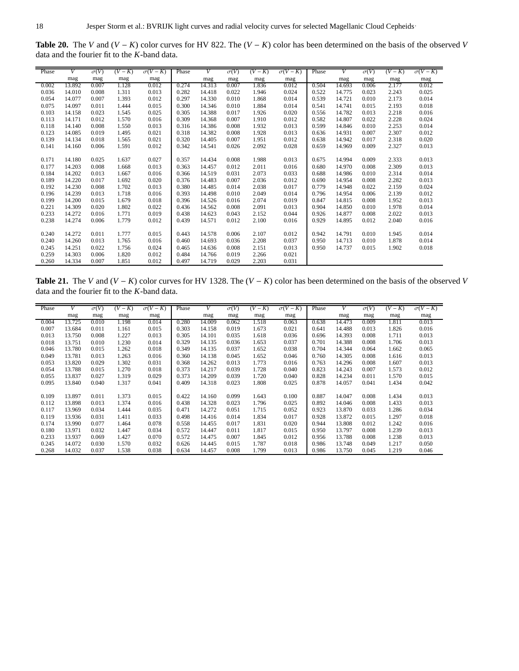<span id="page-17-0"></span>**Table 20.** The *V* and (*V* − *K*) color curves for HV 822. The (*V* − *K*) color has been determined on the basis of the observed *V* data and the fourier fit to the *K*-band data.

| Phase | V      | $\sigma(V)$ | $(V-K)$ | $\sigma(V-K)$ | Phase | V      | $\sigma(V)$ | $(V-K)$ | $\sigma(V-K)$ | Phase | V      | $\sigma(V)$ | $(V-K)$ | $\sigma(V-K)$ |
|-------|--------|-------------|---------|---------------|-------|--------|-------------|---------|---------------|-------|--------|-------------|---------|---------------|
|       | mag    | mag         | mag     | mag           |       | mag    | mag         | mag     | mag           |       | mag    | mag         | mag     | mag           |
| 0.002 | 13.892 | 0.007       | 1.128   | 0.012         | 0.274 | 14.313 | 0.007       | 1.836   | 0.012         | 0.504 | 14.693 | 0.006       | 2.177   | 0.012         |
| 0.036 | 14.010 | 0.008       | 1.311   | 0.013         | 0.282 | 14.418 | 0.022       | 1.946   | 0.024         | 0.522 | 14.775 | 0.023       | 2.243   | 0.025         |
| 0.054 | 14.077 | 0.007       | 1.393   | 0.012         | 0.297 | 14.330 | 0.010       | 1.868   | 0.014         | 0.539 | 14.721 | 0.010       | 2.173   | 0.014         |
| 0.075 | 14.097 | 0.011       | 1.444   | 0.015         | 0.300 | 14.346 | 0.010       | 1.884   | 0.014         | 0.541 | 14.741 | 0.015       | 2.193   | 0.018         |
| 0.103 | 14.158 | 0.023       | 1.545   | 0.025         | 0.305 | 14.388 | 0.017       | 1.926   | 0.020         | 0.556 | 14.782 | 0.013       | 2.218   | 0.016         |
| 0.113 | 14.171 | 0.012       | 1.570   | 0.016         | 0.309 | 14.368 | 0.007       | 1.910   | 0.012         | 0.582 | 14.807 | 0.022       | 2.228   | 0.024         |
| 0.118 | 14.140 | 0.008       | 1.550   | 0.013         | 0.316 | 14.386 | 0.008       | 1.932   | 0.013         | 0.599 | 14.846 | 0.010       | 2.253   | 0.014         |
| 0.123 | 14.085 | 0.019       | 1.495   | 0.021         | 0.318 | 14.382 | 0.008       | 1.928   | 0.013         | 0.636 | 14.931 | 0.007       | 2.307   | 0.012         |
| 0.139 | 14.134 | 0.018       | 1.565   | 0.021         | 0.320 | 14.405 | 0.007       | 1.951   | 0.012         | 0.638 | 14.942 | 0.017       | 2.318   | 0.020         |
| 0.141 | 14.160 | 0.006       | 1.591   | 0.012         | 0.342 | 14.541 | 0.026       | 2.092   | 0.028         | 0.659 | 14.969 | 0.009       | 2.327   | 0.013         |
|       |        |             |         |               |       |        |             |         |               |       |        |             |         |               |
| 0.171 | 14.180 | 0.025       | 1.637   | 0.027         | 0.357 | 14.434 | 0.008       | 1.988   | 0.013         | 0.675 | 14.994 | 0.009       | 2.333   | 0.013         |
| 0.177 | 14.203 | 0.008       | 1.668   | 0.013         | 0.363 | 14.457 | 0.012       | 2.011   | 0.016         | 0.680 | 14.970 | 0.008       | 2.309   | 0.013         |
| 0.184 | 14.202 | 0.013       | 1.667   | 0.016         | 0.366 | 14.519 | 0.031       | 2.073   | 0.033         | 0.688 | 14.986 | 0.010       | 2.314   | 0.014         |
| 0.189 | 14.220 | 0.017       | 1.692   | 0.020         | 0.376 | 14.483 | 0.007       | 2.036   | 0.012         | 0.690 | 14.954 | 0.008       | 2.282   | 0.013         |
| 0.192 | 14.230 | 0.008       | 1.702   | 0.013         | 0.380 | 14.485 | 0.014       | 2.038   | 0.017         | 0.779 | 14.948 | 0.022       | 2.159   | 0.024         |
| 0.196 | 14.239 | 0.013       | 1.718   | 0.016         | 0.393 | 14.498 | 0.010       | 2.049   | 0.014         | 0.796 | 14.954 | 0.006       | 2.139   | 0.012         |
| 0.199 | 14.200 | 0.015       | 1.679   | 0.018         | 0.396 | 14.526 | 0.016       | 2.074   | 0.019         | 0.847 | 14.815 | 0.008       | 1.952   | 0.013         |
| 0.221 | 14.309 | 0.020       | 1.802   | 0.022         | 0.436 | 14.562 | 0.008       | 2.091   | 0.013         | 0.904 | 14.850 | 0.010       | 1.978   | 0.014         |
| 0.233 | 14.272 | 0.016       | 1.771   | 0.019         | 0.438 | 14.623 | 0.043       | 2.152   | 0.044         | 0.926 | 14.877 | 0.008       | 2.022   | 0.013         |
| 0.238 | 14.274 | 0.006       | 1.779   | 0.012         | 0.439 | 14.571 | 0.012       | 2.100   | 0.016         | 0.929 | 14.895 | 0.012       | 2.040   | 0.016         |
|       |        |             |         |               |       |        |             |         |               |       |        |             |         |               |
| 0.240 | 14.272 | 0.011       | 1.777   | 0.015         | 0.443 | 14.578 | 0.006       | 2.107   | 0.012         | 0.942 | 14.791 | 0.010       | 1.945   | 0.014         |
| 0.240 | 14.260 | 0.013       | 1.765   | 0.016         | 0.460 | 14.693 | 0.036       | 2.208   | 0.037         | 0.950 | 14.713 | 0.010       | 1.878   | 0.014         |
| 0.245 | 14.251 | 0.022       | 1.756   | 0.024         | 0.465 | 14.636 | 0.008       | 2.151   | 0.013         | 0.950 | 14.737 | 0.015       | 1.902   | 0.018         |
| 0.259 | 14.303 | 0.006       | 1.820   | 0.012         | 0.484 | 14.766 | 0.019       | 2.266   | 0.021         |       |        |             |         |               |
| 0.260 | 14.334 | 0.007       | 1.851   | 0.012         | 0.497 | 14.719 | 0.029       | 2.203   | 0.031         |       |        |             |         |               |

**Table 21.** The *V* and (*V* − *K*) color curves for HV 1328. The (*V* − *K*) color has been determined on the basis of the observed *V* data and the fourier fit to the *K*-band data.

| Phase | V      | $\sigma(V)$ | $(V-K)$ | $\sigma(V-K)$ | Phase | V      | $\sigma(V)$ | $(V-K)$ | $\sigma(V-K)$ | Phase | V      | $\sigma(V)$ | $(V-K)$ | $\sigma(V-K)$ |
|-------|--------|-------------|---------|---------------|-------|--------|-------------|---------|---------------|-------|--------|-------------|---------|---------------|
|       | mag    | mag         | mag     | mag           |       | mag    | mag         | mag     | mag           |       | mag    | mag         | mag     | mag           |
| 0.004 | 13.725 | 0.010       | 1.198   | 0.014         | 0.280 | 14.009 | 0.062       | 1.518   | 0.063         | 0.638 | 14.473 | 0.009       | 1.811   | 0.013         |
| 0.007 | 13.684 | 0.011       | 1.161   | 0.015         | 0.303 | 14.158 | 0.019       | 1.673   | 0.021         | 0.641 | 14.488 | 0.013       | 1.826   | 0.016         |
| 0.013 | 13.750 | 0.008       | 1.227   | 0.013         | 0.305 | 14.101 | 0.035       | 1.618   | 0.036         | 0.696 | 14.393 | 0.008       | 1.711   | 0.013         |
| 0.018 | 13.751 | 0.010       | 1.230   | 0.014         | 0.329 | 14.135 | 0.036       | 1.653   | 0.037         | 0.701 | 14.388 | 0.008       | 1.706   | 0.013         |
| 0.046 | 13.780 | 0.015       | 1.262   | 0.018         | 0.349 | 14.135 | 0.037       | 1.652   | 0.038         | 0.704 | 14.344 | 0.064       | 1.662   | 0.065         |
| 0.049 | 13.781 | 0.013       | 1.263   | 0.016         | 0.360 | 14.138 | 0.045       | 1.652   | 0.046         | 0.760 | 14.305 | 0.008       | 1.616   | 0.013         |
| 0.053 | 13.820 | 0.029       | 1.302   | 0.031         | 0.368 | 14.262 | 0.013       | 1.773   | 0.016         | 0.763 | 14.296 | 0.008       | 1.607   | 0.013         |
| 0.054 | 13.788 | 0.015       | 1.270   | 0.018         | 0.373 | 14.217 | 0.039       | 1.728   | 0.040         | 0.823 | 14.243 | 0.007       | 1.573   | 0.012         |
| 0.055 | 13.837 | 0.027       | 1.319   | 0.029         | 0.373 | 14.209 | 0.039       | 1.720   | 0.040         | 0.828 | 14.234 | 0.011       | 1.570   | 0.015         |
| 0.095 | 13.840 | 0.040       | 1.317   | 0.041         | 0.409 | 14.318 | 0.023       | 1.808   | 0.025         | 0.878 | 14.057 | 0.041       | 1.434   | 0.042         |
|       |        |             |         |               |       |        |             |         |               |       |        |             |         |               |
| 0.109 | 13.897 | 0.011       | 1.373   | 0.015         | 0.422 | 14.160 | 0.099       | 1.643   | 0.100         | 0.887 | 14.047 | 0.008       | 1.434   | 0.013         |
| 0.112 | 13.898 | 0.013       | 1.374   | 0.016         | 0.438 | 14.328 | 0.023       | 1.796   | 0.025         | 0.892 | 14.046 | 0.008       | 1.433   | 0.013         |
| 0.117 | 13.969 | 0.034       | 1.444   | 0.035         | 0.471 | 14.272 | 0.051       | 1.715   | 0.052         | 0.923 | 13.870 | 0.033       | 1.286   | 0.034         |
| 0.119 | 13.936 | 0.031       | 1.411   | 0.033         | 0.498 | 14.416 | 0.014       | 1.834   | 0.017         | 0.928 | 13.872 | 0.015       | 1.297   | 0.018         |
| 0.174 | 13.990 | 0.077       | 1.464   | 0.078         | 0.558 | 14.455 | 0.017       | 1.831   | 0.020         | 0.944 | 13.808 | 0.012       | 1.242   | 0.016         |
| 0.180 | 13.971 | 0.032       | 1.447   | 0.034         | 0.572 | 14.447 | 0.011       | 1.817   | 0.015         | 0.950 | 13.797 | 0.008       | 1.239   | 0.013         |
| 0.233 | 13.937 | 0.069       | 1.427   | 0.070         | 0.572 | 14.475 | 0.007       | 1.845   | 0.012         | 0.956 | 13.788 | 0.008       | 1.238   | 0.013         |
| 0.245 | 14.072 | 0.030       | 1.570   | 0.032         | 0.626 | 14.445 | 0.015       | 1.787   | 0.018         | 0.986 | 13.748 | 0.049       | 1.217   | 0.050         |
| 0.268 | 14.032 | 0.037       | 1.538   | 0.038         | 0.634 | 14.457 | 0.008       | 1.799   | 0.013         | 0.986 | 13.750 | 0.045       | 1.219   | 0.046         |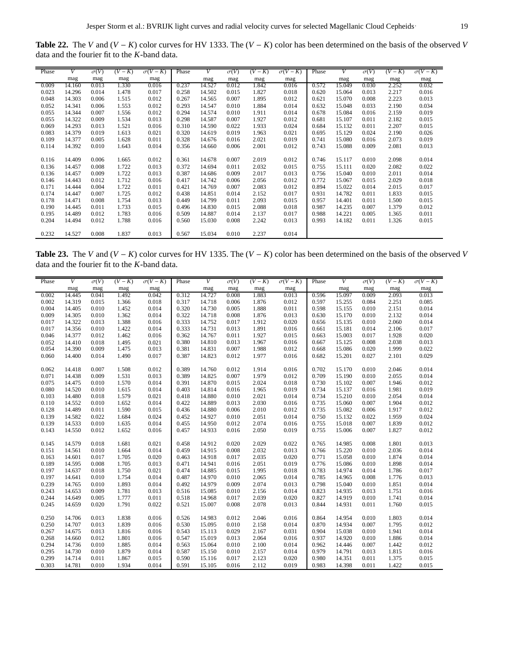**Table 22.** The *V* and (*V* − *K*) color curves for HV 1333. The (*V* − *K*) color has been determined on the basis of the observed *V* data and the fourier fit to the *K*-band data.

| Phase | V      | $\sigma(V)$ | $(V-K)$ | $\sigma(V-K)$ | Phase | V      | $\sigma(V)$ | $(V-K)$ | $\sigma(V-K)$ | Phase | V      | $\sigma(V)$ | $(V-K)$ | $\sigma(V-K)$ |
|-------|--------|-------------|---------|---------------|-------|--------|-------------|---------|---------------|-------|--------|-------------|---------|---------------|
|       | mag    | mag         | mag     | mag           |       | mag    | mag         | mag     | mag           |       | mag    | mag         | mag     | mag           |
| 0.009 | 14.160 | 0.013       | 1.330   | 0.016         | 0.237 | 14.527 | 0.012       | 1.842   | 0.016         | 0.572 | 15.049 | 0.030       | 2.252   | 0.032         |
| 0.023 | 14.296 | 0.014       | 1.478   | 0.017         | 0.258 | 14.502 | 0.015       | 1.827   | 0.018         | 0.620 | 15.064 | 0.013       | 2.217   | 0.016         |
| 0.048 | 14.303 | 0.006       | 1.515   | 0.012         | 0.267 | 14.565 | 0.007       | 1.895   | 0.012         | 0.621 | 15.070 | 0.008       | 2.223   | 0.013         |
| 0.052 | 14.341 | 0.006       | 1.553   | 0.012         | 0.293 | 14.547 | 0.010       | 1.884   | 0.014         | 0.632 | 15.048 | 0.033       | 2.190   | 0.034         |
| 0.055 | 14.344 | 0.007       | 1.556   | 0.012         | 0.294 | 14.574 | 0.010       | 1.911   | 0.014         | 0.678 | 15.084 | 0.016       | 2.159   | 0.019         |
| 0.055 | 14.322 | 0.009       | 1.534   | 0.013         | 0.298 | 14.587 | 0.007       | 1.927   | 0.012         | 0.681 | 15.107 | 0.011       | 2.182   | 0.015         |
| 0.069 | 14.293 | 0.013       | 1.521   | 0.016         | 0.310 | 14.590 | 0.022       | 1.933   | 0.024         | 0.684 | 15.132 | 0.011       | 2.207   | 0.015         |
| 0.083 | 14.379 | 0.019       | 1.613   | 0.021         | 0.320 | 14.619 | 0.019       | 1.963   | 0.021         | 0.695 | 15.129 | 0.024       | 2.190   | 0.026         |
| 0.109 | 14.377 | 0.005       | 1.628   | 0.011         | 0.328 | 14.676 | 0.016       | 2.021   | 0.019         | 0.741 | 15.080 | 0.016       | 2.073   | 0.019         |
| 0.114 | 14.392 | 0.010       | 1.643   | 0.014         | 0.356 | 14.660 | 0.006       | 2.001   | 0.012         | 0.743 | 15.088 | 0.009       | 2.081   | 0.013         |
|       |        |             |         |               |       |        |             |         |               |       |        |             |         |               |
| 0.116 | 14.409 | 0.006       | 1.665   | 0.012         | 0.361 | 14.678 | 0.007       | 2.019   | 0.012         | 0.746 | 15.117 | 0.010       | 2.098   | 0.014         |
| 0.136 | 14.457 | 0.008       | 1.722   | 0.013         | 0.372 | 14.694 | 0.011       | 2.032   | 0.015         | 0.755 | 15.111 | 0.020       | 2.082   | 0.022         |
| 0.136 | 14.457 | 0.009       | 1.722   | 0.013         | 0.387 | 14.686 | 0.009       | 2.017   | 0.013         | 0.756 | 15.040 | 0.010       | 2.011   | 0.014         |
| 0.146 | 14.443 | 0.012       | 1.712   | 0.016         | 0.417 | 14.742 | 0.006       | 2.056   | 0.012         | 0.772 | 15.067 | 0.015       | 2.029   | 0.018         |
| 0.171 | 14.444 | 0.004       | 1.722   | 0.011         | 0.421 | 14.769 | 0.007       | 2.083   | 0.012         | 0.894 | 15.022 | 0.014       | 2.015   | 0.017         |
| 0.174 | 14.447 | 0.007       | 1.725   | 0.012         | 0.438 | 14.851 | 0.014       | 2.152   | 0.017         | 0.931 | 14.782 | 0.011       | 1.833   | 0.015         |
| 0.178 | 14.471 | 0.008       | 1.754   | 0.013         | 0.449 | 14.799 | 0.011       | 2.093   | 0.015         | 0.957 | 14.401 | 0.011       | 1.500   | 0.015         |
| 0.190 | 14.445 | 0.011       | 1.733   | 0.015         | 0.496 | 14.830 | 0.015       | 2.088   | 0.018         | 0.987 | 14.235 | 0.007       | 1.379   | 0.012         |
| 0.195 | 14.489 | 0.012       | 1.783   | 0.016         | 0.509 | 14.887 | 0.014       | 2.137   | 0.017         | 0.988 | 14.221 | 0.005       | 1.365   | 0.011         |
| 0.204 | 14.494 | 0.012       | 1.788   | 0.016         | 0.560 | 15.030 | 0.008       | 2.242   | 0.013         | 0.993 | 14.182 | 0.011       | 1.326   | 0.015         |
|       |        |             |         |               |       |        |             |         |               |       |        |             |         |               |
| 0.232 | 14.527 | 0.008       | 1.837   | 0.013         | 0.567 | 15.034 | 0.010       | 2.237   | 0.014         |       |        |             |         |               |

**Table 23.** The *V* and (*V* − *K*) color curves for HV 1335. The (*V* − *K*) color has been determined on the basis of the observed *V* data and the fourier fit to the *K*-band data.

| Phase | V      | $\sigma(V)$ | $(V-K)$ | $\sigma(V-K)$ | Phase | V      | $\sigma(V)$ | $(V-K)$ | $\sigma(V-K)$ | Phase | V      | $\sigma(V)$ | $(V-K)$ | $\sigma(V-K)$ |
|-------|--------|-------------|---------|---------------|-------|--------|-------------|---------|---------------|-------|--------|-------------|---------|---------------|
|       | mag    | mag         | mag     | mag           |       | mag    | mag         | mag     | mag           |       | mag    | mag         | mag     | mag           |
| 0.002 | 14.445 | 0.041       | 1.492   | 0.042         | 0.312 | 14.727 | 0.008       | 1.883   | 0.013         | 0.596 | 15.097 | 0.009       | 2.093   | 0.013         |
| 0.002 | 14.319 | 0.015       | 1.366   | 0.018         | 0.317 | 14.718 | 0.006       | 1.876   | 0.012         | 0.597 | 15.255 | 0.084       | 2.251   | 0.085         |
| 0.004 | 14.405 | 0.010       | 1.452   | 0.014         | 0.320 | 14.730 | 0.005       | 1.888   | 0.011         | 0.598 | 15.155 | 0.010       | 2.151   | 0.014         |
| 0.009 | 14.305 | 0.010       | 1.362   | 0.014         | 0.322 | 14.718 | 0.008       | 1.876   | 0.013         | 0.630 | 15.170 | 0.010       | 2.132   | 0.014         |
| 0.017 | 14.322 | 0.013       | 1.388   | 0.016         | 0.333 | 14.752 | 0.017       | 1.912   | 0.020         | 0.656 | 15.135 | 0.010       | 2.060   | 0.014         |
| 0.017 | 14.356 | 0.010       | 1.422   | 0.014         | 0.333 | 14.731 | 0.013       | 1.891   | 0.016         | 0.661 | 15.181 | 0.014       | 2.106   | 0.017         |
| 0.046 | 14.377 | 0.012       | 1.462   | 0.016         | 0.362 | 14.767 | 0.011       | 1.927   | 0.015         | 0.663 | 15.003 | 0.017       | 1.928   | 0.020         |
| 0.052 | 14.410 | 0.018       | 1.495   | 0.021         | 0.380 | 14.810 | 0.013       | 1.967   | 0.016         | 0.667 | 15.125 | 0.008       | 2.038   | 0.013         |
| 0.054 | 14.390 | 0.009       | 1.475   | 0.013         | 0.381 | 14.831 | 0.007       | 1.988   | 0.012         | 0.668 | 15.086 | 0.020       | 1.999   | 0.022         |
| 0.060 | 14.400 | 0.014       | 1.490   | 0.017         | 0.387 | 14.823 | 0.012       | 1.977   | 0.016         | 0.682 | 15.201 | 0.027       | 2.101   | 0.029         |
|       |        |             |         |               |       |        |             |         |               |       |        |             |         |               |
| 0.062 | 14.418 | 0.007       | 1.508   | 0.012         | 0.389 | 14.760 | 0.012       | 1.914   | 0.016         | 0.702 | 15.170 | 0.010       | 2.046   | 0.014         |
| 0.071 | 14.438 | 0.009       | 1.531   | 0.013         | 0.389 | 14.825 | 0.007       | 1.979   | 0.012         | 0.709 | 15.190 | 0.010       | 2.055   | 0.014         |
| 0.075 | 14.475 | 0.010       | 1.570   | 0.014         | 0.391 | 14.870 | 0.015       | 2.024   | 0.018         | 0.730 | 15.102 | 0.007       | 1.946   | 0.012         |
| 0.080 | 14.520 | 0.010       | 1.615   | 0.014         | 0.403 | 14.814 | 0.016       | 1.965   | 0.019         | 0.734 | 15.137 | 0.016       | 1.981   | 0.019         |
| 0.103 | 14.480 | 0.018       | 1.579   | 0.021         | 0.418 | 14.880 | 0.010       | 2.021   | 0.014         | 0.734 | 15.210 | 0.010       | 2.054   | 0.014         |
| 0.110 | 14.552 | 0.010       | 1.652   | 0.014         | 0.422 | 14.889 | 0.013       | 2.030   | 0.016         | 0.735 | 15.060 | 0.007       | 1.904   | 0.012         |
| 0.128 | 14.489 | 0.011       | 1.590   | 0.015         | 0.436 | 14.880 | 0.006       | 2.010   | 0.012         | 0.735 | 15.082 | 0.006       | 1.917   | 0.012         |
| 0.139 | 14.582 | 0.022       | 1.684   | 0.024         | 0.452 | 14.927 | 0.010       | 2.051   | 0.014         | 0.750 | 15.132 | 0.022       | 1.959   | 0.024         |
| 0.139 | 14.533 | 0.010       | 1.635   | 0.014         | 0.455 | 14.950 | 0.012       | 2.074   | 0.016         | 0.755 | 15.018 | 0.007       | 1.839   | 0.012         |
| 0.143 | 14.550 | 0.012       | 1.652   | 0.016         | 0.457 | 14.933 | 0.016       | 2.050   | 0.019         | 0.755 | 15.006 | 0.007       | 1.827   | 0.012         |
|       |        |             |         |               |       |        |             |         |               |       |        |             |         |               |
| 0.145 | 14.579 | 0.018       | 1.681   | 0.021         | 0.458 | 14.912 | 0.020       | 2.029   | 0.022         | 0.765 | 14.985 | 0.008       | 1.801   | 0.013         |
| 0.151 | 14.561 | 0.010       | 1.664   | 0.014         | 0.459 | 14.915 | 0.008       | 2.032   | 0.013         | 0.766 | 15.220 | 0.010       | 2.036   | 0.014         |
| 0.163 | 14.601 | 0.017       | 1.705   | 0.020         | 0.463 | 14.918 | 0.017       | 2.035   | 0.020         | 0.771 | 15.058 | 0.010       | 1.874   | 0.014         |
| 0.189 | 14.595 | 0.008       | 1.705   | 0.013         | 0.471 | 14.941 | 0.016       | 2.051   | 0.019         | 0.776 | 15.086 | 0.010       | 1.898   | 0.014         |
| 0.197 | 14.637 | 0.018       | 1.750   | 0.021         | 0.474 | 14.885 | 0.015       | 1.995   | 0.018         | 0.783 | 14.974 | 0.014       | 1.786   | 0.017         |
| 0.197 | 14.641 | 0.010       | 1.754   | 0.014         | 0.487 | 14.970 | 0.010       | 2.065   | 0.014         | 0.785 | 14.965 | 0.008       | 1.776   | 0.013         |
| 0.239 | 14.765 | 0.010       | 1.893   | 0.014         | 0.492 | 14.979 | 0.009       | 2.074   | 0.013         | 0.798 | 15.040 | 0.010       | 1.851   | 0.014         |
| 0.243 | 14.653 | 0.009       | 1.781   | 0.013         | 0.516 | 15.085 | 0.010       | 2.156   | 0.014         | 0.823 | 14.935 | 0.013       | 1.751   | 0.016         |
| 0.244 | 14.649 | 0.005       | 1.777   | 0.011         | 0.518 | 14.968 | 0.017       | 2.039   | 0.020         | 0.827 | 14.919 | 0.010       | 1.741   | 0.014         |
| 0.245 | 14.659 | 0.020       | 1.791   | 0.022         | 0.521 | 15.007 | 0.008       | 2.078   | 0.013         | 0.844 | 14.931 | 0.011       | 1.760   | 0.015         |
|       |        |             |         |               |       |        |             |         |               |       |        |             |         |               |
| 0.250 | 14.706 | 0.013       | 1.838   | 0.016         | 0.526 | 14.983 | 0.012       | 2.046   | 0.016         | 0.864 | 14.954 | 0.010       | 1.803   | 0.014         |
| 0.250 | 14.707 | 0.013       | 1.839   | 0.016         | 0.530 | 15.095 | 0.010       | 2.158   | 0.014         | 0.870 | 14.934 | 0.007       | 1.795   | 0.012         |
| 0.267 | 14.675 | 0.013       | 1.816   | 0.016         | 0.543 | 15.113 | 0.029       | 2.167   | 0.031         | 0.904 | 15.038 | 0.010       | 1.941   | 0.014         |
| 0.268 | 14.660 | 0.012       | 1.801   | 0.016         | 0.547 | 15.019 | 0.013       | 2.064   | 0.016         | 0.937 | 14.920 | 0.010       | 1.886   | 0.014         |
| 0.294 | 14.736 | 0.010       | 1.885   | 0.014         | 0.563 | 15.064 | 0.010       | 2.100   | 0.014         | 0.962 | 14.446 | 0.007       | 1.442   | 0.012         |
| 0.295 | 14.730 | 0.010       | 1.879   | 0.014         | 0.587 | 15.150 | 0.010       | 2.157   | 0.014         | 0.979 | 14.791 | 0.013       | 1.815   | 0.016         |
| 0.299 | 14.714 | 0.011       | 1.867   | 0.015         | 0.590 | 15.116 | 0.017       | 2.123   | 0.020         | 0.980 | 14.351 | 0.011       | 1.375   | 0.015         |
| 0.303 | 14.781 | 0.010       | 1.934   | 0.014         | 0.591 | 15.105 | 0.016       | 2.112   | 0.019         | 0.983 | 14.398 | 0.011       | 1.422   | 0.015         |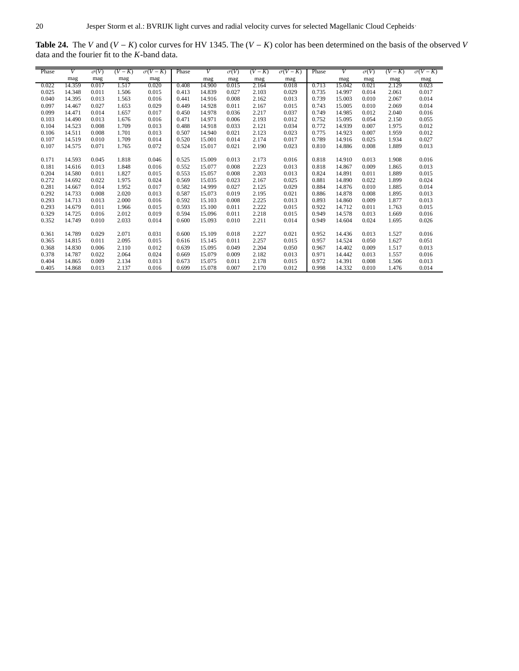<span id="page-19-0"></span>**Table 24.** The *V* and (*V* − *K*) color curves for HV 1345. The (*V* − *K*) color has been determined on the basis of the observed *V* data and the fourier fit to the *K*-band data.

| Phase | V      | $\sigma(V)$ | $(V-K)$ | $\sigma(V-K)$ | Phase | V      |             | $\overline{(V-K)}$ | $\sigma(V-K)$ | Phase | V      | $\sigma(V)$ | $(V-K)$ | $\sigma(V-K)$ |
|-------|--------|-------------|---------|---------------|-------|--------|-------------|--------------------|---------------|-------|--------|-------------|---------|---------------|
|       |        |             |         |               |       |        | $\sigma(V)$ |                    |               |       |        |             |         |               |
|       | mag    | mag         | mag     | mag           |       | mag    | mag         | mag                | mag           |       | mag    | mag         | mag     | mag           |
| 0.022 | 14.359 | 0.017       | 1.517   | 0.020         | 0.408 | 14.900 | 0.015       | 2.164              | 0.018         | 0.713 | 15.042 | 0.021       | 2.129   | 0.023         |
| 0.025 | 14.348 | 0.011       | 1.506   | 0.015         | 0.413 | 14.839 | 0.027       | 2.103              | 0.029         | 0.735 | 14.997 | 0.014       | 2.061   | 0.017         |
| 0.040 | 14.395 | 0.013       | 1.563   | 0.016         | 0.441 | 14.916 | 0.008       | 2.162              | 0.013         | 0.739 | 15.003 | 0.010       | 2.067   | 0.014         |
| 0.097 | 14.467 | 0.027       | 1.653   | 0.029         | 0.449 | 14.928 | 0.011       | 2.167              | 0.015         | 0.743 | 15.005 | 0.010       | 2.069   | 0.014         |
| 0.099 | 14.471 | 0.014       | 1.657   | 0.017         | 0.450 | 14.978 | 0.036       | 2.217              | 0.037         | 0.749 | 14.985 | 0.012       | 2.040   | 0.016         |
| 0.103 | 14.490 | 0.013       | 1.676   | 0.016         | 0.471 | 14.971 | 0.006       | 2.193              | 0.012         | 0.752 | 15.095 | 0.054       | 2.150   | 0.055         |
| 0.104 | 14.523 | 0.008       | 1.709   | 0.013         | 0.488 | 14.918 | 0.033       | 2.121              | 0.034         | 0.772 | 14.939 | 0.007       | 1.975   | 0.012         |
| 0.106 | 14.511 | 0.008       | 1.701   | 0.013         | 0.507 | 14.940 | 0.021       | 2.123              | 0.023         | 0.775 | 14.923 | 0.007       | 1.959   | 0.012         |
| 0.107 | 14.519 | 0.010       | 1.709   | 0.014         | 0.520 | 15.001 | 0.014       | 2.174              | 0.017         | 0.789 | 14.916 | 0.025       | 1.934   | 0.027         |
| 0.107 | 14.575 | 0.071       | 1.765   | 0.072         | 0.524 | 15.017 | 0.021       | 2.190              | 0.023         | 0.810 | 14.886 | 0.008       | 1.889   | 0.013         |
|       |        |             |         |               |       |        |             |                    |               |       |        |             |         |               |
| 0.171 | 14.593 | 0.045       | 1.818   | 0.046         | 0.525 | 15.009 | 0.013       | 2.173              | 0.016         | 0.818 | 14.910 | 0.013       | 1.908   | 0.016         |
| 0.181 | 14.616 | 0.013       | 1.848   | 0.016         | 0.552 | 15.077 | 0.008       | 2.223              | 0.013         | 0.818 | 14.867 | 0.009       | 1.865   | 0.013         |
| 0.204 | 14.580 | 0.011       | 1.827   | 0.015         | 0.553 | 15.057 | 0.008       | 2.203              | 0.013         | 0.824 | 14.891 | 0.011       | 1.889   | 0.015         |
| 0.272 | 14.692 | 0.022       | 1.975   | 0.024         | 0.569 | 15.035 | 0.023       | 2.167              | 0.025         | 0.881 | 14.890 | 0.022       | 1.899   | 0.024         |
| 0.281 | 14.667 | 0.014       | 1.952   | 0.017         | 0.582 | 14.999 | 0.027       | 2.125              | 0.029         | 0.884 | 14.876 | 0.010       | 1.885   | 0.014         |
| 0.292 | 14.733 | 0.008       | 2.020   | 0.013         | 0.587 | 15.073 | 0.019       | 2.195              | 0.021         | 0.886 | 14.878 | 0.008       | 1.895   | 0.013         |
| 0.293 | 14.713 | 0.013       | 2.000   | 0.016         | 0.592 | 15.103 | 0.008       | 2.225              | 0.013         | 0.893 | 14.860 | 0.009       | 1.877   | 0.013         |
| 0.293 | 14.679 | 0.011       | 1.966   | 0.015         | 0.593 | 15.100 | 0.011       | 2.222              | 0.015         | 0.922 | 14.712 | 0.011       | 1.763   | 0.015         |
| 0.329 | 14.725 | 0.016       | 2.012   | 0.019         | 0.594 | 15.096 | 0.011       | 2.218              | 0.015         | 0.949 | 14.578 | 0.013       | 1.669   | 0.016         |
| 0.352 | 14.749 | 0.010       | 2.033   | 0.014         | 0.600 | 15.093 | 0.010       | 2.211              | 0.014         | 0.949 | 14.604 | 0.024       | 1.695   | 0.026         |
|       |        |             |         |               |       |        |             |                    |               |       |        |             |         |               |
| 0.361 | 14.789 | 0.029       | 2.071   | 0.031         | 0.600 | 15.109 | 0.018       | 2.227              | 0.021         | 0.952 | 14.436 | 0.013       | 1.527   | 0.016         |
| 0.365 | 14.815 | 0.011       | 2.095   | 0.015         | 0.616 | 15.145 | 0.011       | 2.257              | 0.015         | 0.957 | 14.524 | 0.050       | 1.627   | 0.051         |
| 0.368 | 14.830 | 0.006       | 2.110   | 0.012         | 0.639 | 15.095 | 0.049       | 2.204              | 0.050         | 0.967 | 14.402 | 0.009       | 1.517   | 0.013         |
| 0.378 | 14.787 | 0.022       | 2.064   | 0.024         | 0.669 | 15.079 | 0.009       | 2.182              | 0.013         | 0.971 | 14.442 | 0.013       | 1.557   | 0.016         |
| 0.404 | 14.865 | 0.009       | 2.134   | 0.013         | 0.673 | 15.075 | 0.011       | 2.178              | 0.015         | 0.972 | 14.391 | 0.008       | 1.506   | 0.013         |
| 0.405 | 14.868 | 0.013       | 2.137   | 0.016         | 0.699 | 15.078 | 0.007       | 2.170              | 0.012         | 0.998 | 14.332 | 0.010       | 1.476   | 0.014         |
|       |        |             |         |               |       |        |             |                    |               |       |        |             |         |               |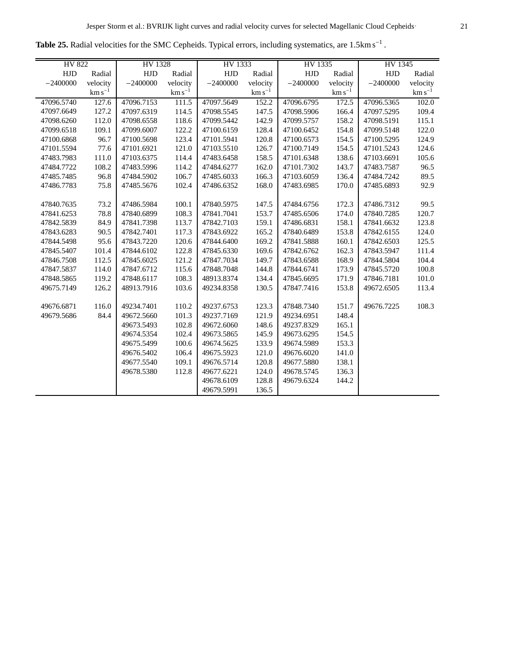<span id="page-20-0"></span>

|  |  | Table 25. Radial velocities for the SMC Cepheids. Typical errors, including systematics, are $1.5 \text{km s}^{-1}$ . |  |
|--|--|-----------------------------------------------------------------------------------------------------------------------|--|

| HV 822     |             | HV 1328    |             | HV 1333    |             | HV 1335    |             | HV 1345    |             |
|------------|-------------|------------|-------------|------------|-------------|------------|-------------|------------|-------------|
| HJD        | Radial      | <b>HJD</b> | Radial      | <b>HJD</b> | Radial      | HJD        | Radial      | <b>HJD</b> | Radial      |
| $-2400000$ | velocity    | $-2400000$ | velocity    | $-2400000$ | velocity    | $-2400000$ | velocity    | $-2400000$ | velocity    |
|            | $km s^{-1}$ |            | $km s^{-1}$ |            | $km s^{-1}$ |            | $km s^{-1}$ |            | $km s^{-1}$ |
| 47096.5740 | 127.6       | 47096.7153 | 111.5       | 47097.5649 | 152.2       | 47096.6795 | 172.5       | 47096.5365 | 102.0       |
| 47097.6649 | 127.2       | 47097.6319 | 114.5       | 47098.5545 | 147.5       | 47098.5906 | 166.4       | 47097.5295 | 109.4       |
| 47098.6260 | 112.0       | 47098.6558 | 118.6       | 47099.5442 | 142.9       | 47099.5757 | 158.2       | 47098.5191 | 115.1       |
| 47099.6518 | 109.1       | 47099.6007 | 122.2       | 47100.6159 | 128.4       | 47100.6452 | 154.8       | 47099.5148 | 122.0       |
| 47100.6868 | 96.7        | 47100.5698 | 123.4       | 47101.5941 | 120.8       | 47100.6573 | 154.5       | 47100.5295 | 124.9       |
| 47101.5594 | 77.6        | 47101.6921 | 121.0       | 47103.5510 | 126.7       | 47100.7149 | 154.5       | 47101.5243 | 124.6       |
| 47483.7983 | 111.0       | 47103.6375 | 114.4       | 47483.6458 | 158.5       | 47101.6348 | 138.6       | 47103.6691 | 105.6       |
| 47484.7722 | 108.2       | 47483.5996 | 114.2       | 47484.6277 | 162.0       | 47101.7302 | 143.7       | 47483.7587 | 96.5        |
| 47485.7485 | 96.8        | 47484.5902 | 106.7       | 47485.6033 | 166.3       | 47103.6059 | 136.4       | 47484.7242 | 89.5        |
| 47486.7783 | 75.8        | 47485.5676 | 102.4       | 47486.6352 | 168.0       | 47483.6985 | 170.0       | 47485.6893 | 92.9        |
|            |             |            |             |            |             |            |             |            |             |
| 47840.7635 | 73.2        | 47486.5984 | 100.1       | 47840.5975 | 147.5       | 47484.6756 | 172.3       | 47486.7312 | 99.5        |
| 47841.6253 | 78.8        | 47840.6899 | 108.3       | 47841.7041 | 153.7       | 47485.6506 | 174.0       | 47840.7285 | 120.7       |
| 47842.5839 | 84.9        | 47841.7398 | 113.7       | 47842.7103 | 159.1       | 47486.6831 | 158.1       | 47841.6632 | 123.8       |
| 47843.6283 | 90.5        | 47842.7401 | 117.3       | 47843.6922 | 165.2       | 47840.6489 | 153.8       | 47842.6155 | 124.0       |
| 47844.5498 | 95.6        | 47843.7220 | 120.6       | 47844.6400 | 169.2       | 47841.5888 | 160.1       | 47842.6503 | 125.5       |
| 47845.5407 | 101.4       | 47844.6102 | 122.8       | 47845.6330 | 169.6       | 47842.6762 | 162.3       | 47843.5947 | 111.4       |
| 47846.7508 | 112.5       | 47845.6025 | 121.2       | 47847.7034 | 149.7       | 47843.6588 | 168.9       | 47844.5804 | 104.4       |
| 47847.5837 | 114.0       | 47847.6712 | 115.6       | 47848.7048 | 144.8       | 47844.6741 | 173.9       | 47845.5720 | 100.8       |
| 47848.5865 | 119.2       | 47848.6117 | 108.3       | 48913.8374 | 134.4       | 47845.6695 | 171.9       | 47846.7181 | 101.0       |
| 49675.7149 | 126.2       | 48913.7916 | 103.6       | 49234.8358 | 130.5       | 47847.7416 | 153.8       | 49672.6505 | 113.4       |
|            |             |            |             |            |             |            |             |            |             |
| 49676.6871 | 116.0       | 49234.7401 | 110.2       | 49237.6753 | 123.3       | 47848.7340 | 151.7       | 49676.7225 | 108.3       |
| 49679.5686 | 84.4        | 49672.5660 | 101.3       | 49237.7169 | 121.9       | 49234.6951 | 148.4       |            |             |
|            |             | 49673.5493 | 102.8       | 49672.6060 | 148.6       | 49237.8329 | 165.1       |            |             |
|            |             | 49674.5354 | 102.4       | 49673.5865 | 145.9       | 49673.6295 | 154.5       |            |             |
|            |             | 49675.5499 | 100.6       | 49674.5625 | 133.9       | 49674.5989 | 153.3       |            |             |
|            |             | 49676.5402 | 106.4       | 49675.5923 | 121.0       | 49676.6020 | 141.0       |            |             |
|            |             | 49677.5540 | 109.1       | 49676.5714 | 120.8       | 49677.5880 | 138.1       |            |             |
|            |             | 49678.5380 | 112.8       | 49677.6221 | 124.0       | 49678.5745 | 136.3       |            |             |
|            |             |            |             | 49678.6109 | 128.8       | 49679.6324 | 144.2       |            |             |
|            |             |            |             | 49679.5991 | 136.5       |            |             |            |             |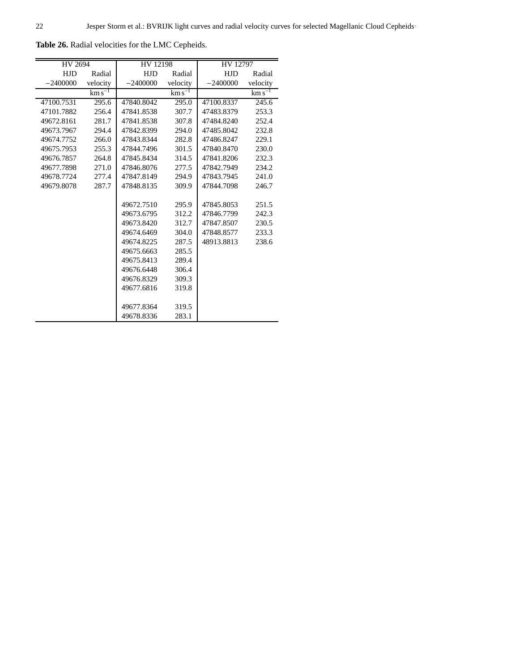| HV 2694    |             | HV 12198             |             | HV 12797   |                  |  |
|------------|-------------|----------------------|-------------|------------|------------------|--|
| <b>HJD</b> | Radial      | <b>HJD</b><br>Radial |             | <b>HJD</b> | Radial           |  |
| $-2400000$ | velocity    | $-2400000$           | velocity    | $-2400000$ | velocity         |  |
|            | $km s^{-1}$ |                      | $km s^{-1}$ |            | $\rm km\,s^{-1}$ |  |
| 47100.7531 | 295.6       | 47840.8042           | 295.0       | 47100.8337 | 245.6            |  |
| 47101.7882 | 256.4       | 47841.8538           | 307.7       | 47483.8379 | 253.3            |  |
| 49672.8161 | 281.7       | 47841.8538           | 307.8       | 47484.8240 | 252.4            |  |
| 49673.7967 | 294.4       | 47842.8399           | 294.0       | 47485.8042 | 232.8            |  |
| 49674.7752 | 266.0       | 47843.8344           | 282.8       | 47486.8247 | 229.1            |  |
| 49675.7953 | 255.3       | 47844.7496           | 301.5       | 47840.8470 | 230.0            |  |
| 49676.7857 | 264.8       | 47845.8434           | 314.5       | 47841.8206 | 232.3            |  |
| 49677.7898 | 271.0       | 47846.8076           | 277.5       | 47842.7949 | 234.2            |  |
| 49678.7724 | 277.4       | 47847.8149           | 294.9       | 47843.7945 | 241.0            |  |
| 49679.8078 | 287.7       | 47848.8135           | 309.9       | 47844.7098 | 246.7            |  |
|            |             |                      |             |            |                  |  |
|            |             | 49672.7510           | 295.9       | 47845.8053 | 251.5            |  |
|            |             | 49673.6795           | 312.2       | 47846.7799 | 242.3            |  |
|            |             | 49673.8420           | 312.7       | 47847.8507 | 230.5            |  |
|            |             | 49674.6469           | 304.0       | 47848.8577 | 233.3            |  |
|            |             | 49674.8225           | 287.5       | 48913.8813 | 238.6            |  |
|            |             | 49675.6663           | 285.5       |            |                  |  |
|            |             | 49675.8413           | 289.4       |            |                  |  |
|            |             | 49676.6448           | 306.4       |            |                  |  |
|            |             | 49676.8329           | 309.3       |            |                  |  |
|            |             | 49677.6816           | 319.8       |            |                  |  |
|            |             |                      |             |            |                  |  |
|            |             | 49677.8364           | 319.5       |            |                  |  |
|            |             | 49678.8336           | 283.1       |            |                  |  |

<span id="page-21-0"></span>**Table 26.** Radial velocities for the LMC Cepheids.